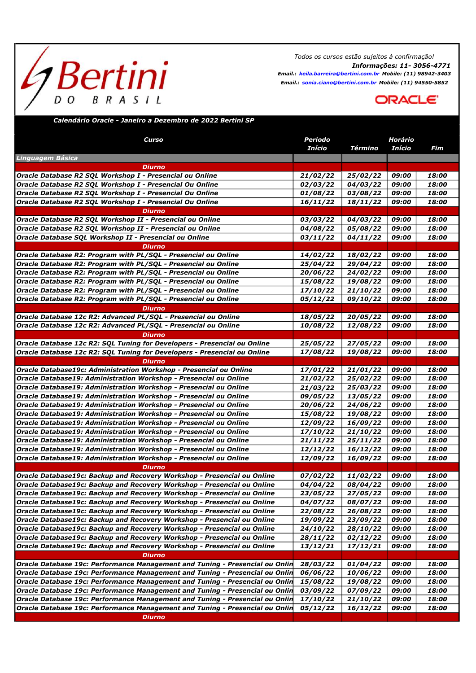## *h* Bertini D O  $B$   $R$   $A$   $S$   $I$   $L$

Todos os cursos estão sujeitos à confirmação! Informações: 11- 3056-4771 Email.: keila.barreira@bertini.com.br Mobile: (11) 98942-3403 Email.: sonia.ciano@bertini.com.br Mobile: (11) 94550-5852



## Calendário Oracle - Janeiro a Dezembro de 2022 Bertini SP

| Curso                                                                              | Período<br>Início      | <b>Término</b>       | Horário<br><b>Início</b> | Fim   |
|------------------------------------------------------------------------------------|------------------------|----------------------|--------------------------|-------|
| Linguagem Básica                                                                   |                        |                      |                          |       |
| Diurno                                                                             |                        |                      |                          |       |
| Oracle Database R2 SQL Workshop I - Presencial ou Online                           | 21/02/22               | 25/02/22             | 09:00                    | 18:00 |
| Oracle Database R2 SQL Workshop I - Presencial Ou Online                           | 02/03/22               | 04/03/22             | 09:00                    | 18:00 |
| Oracle Database R2 SQL Workshop I - Presencial Ou Online                           | 01/08/22               | 03/08/22             | 09:00                    | 18:00 |
| Oracle Database R2 SQL Workshop I - Presencial Ou Online                           | 16/11/22               | 18/11/22             | 09:00                    | 18:00 |
| <b>Diurno</b>                                                                      |                        |                      |                          |       |
| Oracle Database R2 SQL Workshop II - Presencial ou Online                          | 03/03/22               | 04/03/22             | 09:00                    | 18:00 |
| Oracle Database R2 SQL Workshop II - Presencial ou Online                          | 04/08/22               | 05/08/22             | 09:00                    | 18:00 |
| Oracle Database SQL Workshop II - Presencial ou Online                             | 03/11/22               | 04/11/22             | 09:00                    | 18:00 |
| <b>Diurno</b>                                                                      |                        |                      |                          |       |
| Oracle Database R2: Program with PL/SQL - Presencial ou Online                     | 14/02/22               | 18/02/22             | 09:00                    | 18:00 |
| Oracle Database R2: Program with PL/SQL - Presencial ou Online                     | 25/04/22               | 29/04/22             | 09:00                    | 18:00 |
| Oracle Database R2: Program with PL/SQL - Presencial ou Online                     | 20/06/22               | 24/02/22             | 09:00                    | 18:00 |
| Oracle Database R2: Program with PL/SQL - Presencial ou Online                     | 15/08/22               | 19/08/22             | 09:00                    | 18:00 |
| Oracle Database R2: Program with PL/SQL - Presencial ou Online                     | 17/10/22               | 21/10/22             | 09:00                    | 18:00 |
| Oracle Database R2: Program with PL/SQL - Presencial ou Online                     | 05/12/22               | 09/10/22             | 09:00                    | 18:00 |
| Diurno                                                                             |                        |                      |                          |       |
| Oracle Database 12c R2: Advanced PL/SQL - Presencial ou Online                     | 18/05/22               | 20/05/22             | 09:00                    | 18:00 |
| Oracle Database 12c R2: Advanced PL/SQL - Presencial ou Online                     | 10/08/22               | 12/08/22             | 09:00                    | 18:00 |
| <b>Diurno</b>                                                                      |                        |                      |                          |       |
| Oracle Database 12c R2: SQL Tuning for Developers - Presencial ou Online           | 25/05/22               | 27/05/22             | 09:00                    | 18:00 |
|                                                                                    | 17/08/22               | 19/08/22             | 09:00                    | 18:00 |
| Oracle Database 12c R2: SQL Tuning for Developers - Presencial ou Online<br>Diurno |                        |                      |                          |       |
| Oracle Database19c: Administration Workshop - Presencial ou Online                 | 17/01/22               | 21/01/22             | 09:00                    | 18:00 |
|                                                                                    |                        |                      | 09:00                    | 18:00 |
| Oracle Database19: Administration Workshop - Presencial ou Online                  | 21/02/22               | 25/02/22<br>25/03/22 | 09:00                    | 18:00 |
| Oracle Database19: Administration Workshop - Presencial ou Online                  | 21/03/22               |                      | 09:00                    | 18:00 |
| Oracle Database19: Administration Workshop - Presencial ou Online                  | 09/05/22               | 13/05/22             |                          |       |
| Oracle Database19: Administration Workshop - Presencial ou Online                  | 20/06/22               | 24/06/22             | 09:00                    | 18:00 |
| Oracle Database19: Administration Workshop - Presencial ou Online                  | <i><b>15/08/22</b></i> | 19/08/22             | 09:00                    | 18:00 |
| Oracle Database19: Administration Workshop - Presencial ou Online                  | 12/09/22               | 16/09/22             | 09:00                    | 18:00 |
| Oracle Database19: Administration Workshop - Presencial ou Online                  | 17/10/22               | 21/10/22             | 09:00                    | 18:00 |
| Oracle Database19: Administration Workshop - Presencial ou Online                  | 21/11/22               | 25/11/22             | 09:00                    | 18:00 |
| Oracle Database19: Administration Workshop - Presencial ou Online                  | 12/12/22               | 16/12/22             | 09:00                    | 18:00 |
| Oracle Database19: Administration Workshop - Presencial ou Online                  | 12/09/22               | 16/09/22             | 09:00                    | 18:00 |
| <b>Diurno</b>                                                                      |                        |                      |                          |       |
| Oracle Database19c: Backup and Recovery Workshop - Presencial ou Online            | <i><b>07/02/22</b></i> | 11/02/22             | 09:00                    | 18:00 |
| Oracle Database19c: Backup and Recovery Workshop - Presencial ou Online            | 04/04/22               | 08/04/22             | 09:00                    | 18:00 |
| Oracle Database19c: Backup and Recovery Workshop - Presencial ou Online            | 23/05/22               | 27/05/22             | 09:00                    | 18:00 |
| Oracle Database19c: Backup and Recovery Workshop - Presencial ou Online            | <i><b>04/07/22</b></i> | 08/07/22             | 09:00                    | 18:00 |
| Oracle Database19c: Backup and Recovery Workshop - Presencial ou Online            | 22/08/22               | 26/08/22             | 09:00                    | 18:00 |
| Oracle Database19c: Backup and Recovery Workshop - Presencial ou Online            | 19/09/22               | 23/09/22             | 09:00                    | 18:00 |
| Oracle Database19c: Backup and Recovery Workshop - Presencial ou Online            | 24/10/22               | 28/10/22             | 09:00                    | 18:00 |
| Oracle Database19c: Backup and Recovery Workshop - Presencial ou Online            | 28/11/22               | 02/12/22             | 09:00                    | 18:00 |
| Oracle Database19c: Backup and Recovery Workshop - Presencial ou Online            | 13/12/21               | 17/12/21             | 09:00                    | 18:00 |
| <b>Diurno</b>                                                                      |                        |                      |                          |       |
| Oracle Database 19c: Performance Management and Tuning - Presencial ou Onlin       | 28/03/22               | 01/04/22             | 09:00                    | 18:00 |
| Oracle Database 19c: Performance Management and Tuning - Presencial ou Onlin       | 06/06/22               | 10/06/22             | 09:00                    | 18:00 |
| Oracle Database 19c: Performance Management and Tuning - Presencial ou Onlin       | 15/08/22               | 19/08/22             | 09:00                    | 18:00 |
| Oracle Database 19c: Performance Management and Tuning - Presencial ou Onlin       | 03/09/22               | 07/09/22             | 09:00                    | 18:00 |
| Oracle Database 19c: Performance Management and Tuning - Presencial ou Onlin       | 17/10/22               | 21/10/22             | 09:00                    | 18:00 |
| Oracle Database 19c: Performance Management and Tuning - Presencial ou Onlin       | 05/12/22               | 16/12/22             | 09:00                    | 18:00 |
| <b>Diurno</b>                                                                      |                        |                      |                          |       |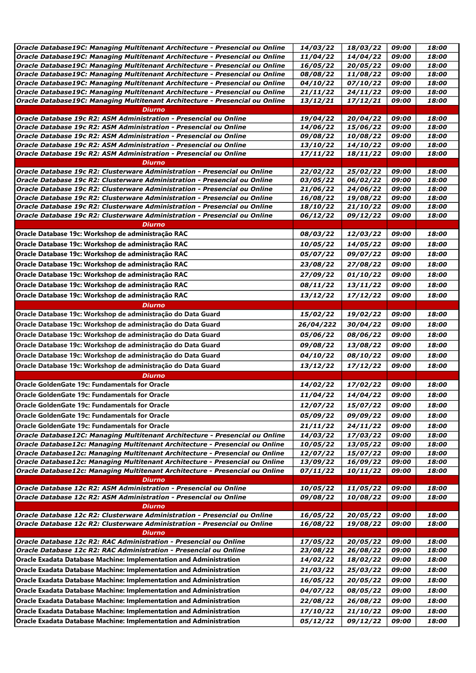| Oracle Database19C: Managing Multitenant Architecture - Presencial ou Online | 14/03/22  | 18/03/22 | 09:00 | 18:00 |
|------------------------------------------------------------------------------|-----------|----------|-------|-------|
| Oracle Database19C: Managing Multitenant Architecture - Presencial ou Online | 11/04/22  | 14/04/22 | 09:00 | 18:00 |
| Oracle Database19C: Managing Multitenant Architecture - Presencial ou Online | 16/05/22  | 20/05/22 | 09:00 | 18:00 |
| Oracle Database19C: Managing Multitenant Architecture - Presencial ou Online | 08/08/22  | 11/08/22 | 09:00 | 18:00 |
| Oracle Database19C: Managing Multitenant Architecture - Presencial ou Online | 04/10/22  | 07/10/22 | 09:00 | 18:00 |
| Oracle Database19C: Managing Multitenant Architecture - Presencial ou Online | 21/11/22  | 24/11/22 | 09:00 | 18:00 |
| Oracle Database19C: Managing Multitenant Architecture - Presencial ou Online | 13/12/21  | 17/12/21 | 09:00 | 18:00 |
| <b>Diurno</b>                                                                |           |          |       |       |
| Oracle Database 19c R2: ASM Administration - Presencial ou Online            | 19/04/22  | 20/04/22 | 09:00 | 18:00 |
| Oracle Database 19c R2: ASM Administration - Presencial ou Online            | 14/06/22  | 15/06/22 | 09:00 | 18:00 |
| Oracle Database 19c R2: ASM Administration - Presencial ou Online            | 09/08/22  | 10/08/22 | 09:00 | 18:00 |
| Oracle Database 19c R2: ASM Administration - Presencial ou Online            | 13/10/22  | 14/10/22 | 09:00 | 18:00 |
| Oracle Database 19c R2: ASM Administration - Presencial ou Online            | 17/11/22  | 18/11/22 | 09:00 | 18:00 |
| Diurno                                                                       |           |          |       |       |
| Oracle Database 19c R2: Clusterware Administration - Presencial ou Online    | 22/02/22  | 25/02/22 | 09:00 | 18:00 |
| Oracle Database 19c R2: Clusterware Administration - Presencial ou Online    | 03/05/22  | 06/02/22 | 09:00 | 18:00 |
| Oracle Database 19c R2: Clusterware Administration - Presencial ou Online    | 21/06/22  | 24/06/22 | 09:00 | 18:00 |
| Oracle Database 19c R2: Clusterware Administration - Presencial ou Online    | 16/08/22  | 19/08/22 | 09:00 | 18:00 |
| Oracle Database 19c R2: Clusterware Administration - Presencial ou Online    | 18/10/22  | 21/10/22 | 09:00 | 18:00 |
| Oracle Database 19c R2: Clusterware Administration - Presencial ou Online    | 06/12/22  | 09/12/22 | 09:00 | 18:00 |
| <b>Diurno</b>                                                                |           |          |       |       |
| Oracle Database 19c: Workshop de administração RAC                           | 08/03/22  | 12/03/22 | 09:00 | 18:00 |
| Oracle Database 19c: Workshop de administração RAC                           | 10/05/22  | 14/05/22 | 09:00 | 18:00 |
| Oracle Database 19c: Workshop de administração RAC                           | 05/07/22  | 09/07/22 | 09:00 | 18:00 |
| Oracle Database 19c: Workshop de administração RAC                           | 23/08/22  | 27/08/22 | 09:00 | 18:00 |
| Oracle Database 19c: Workshop de administração RAC                           | 27/09/22  | 01/10/22 | 09:00 | 18:00 |
| Oracle Database 19c: Workshop de administração RAC                           | 08/11/22  | 13/11/22 | 09:00 | 18:00 |
| Oracle Database 19c: Workshop de administração RAC                           | 13/12/22  | 17/12/22 | 09:00 | 18:00 |
| <b>Diurno</b>                                                                |           |          |       |       |
| Oracle Database 19c: Workshop de administração do Data Guard                 | 15/02/22  | 19/02/22 | 09:00 | 18:00 |
| Oracle Database 19c: Workshop de administração do Data Guard                 | 26/04/222 | 30/04/22 | 09:00 | 18:00 |
| Oracle Database 19c: Workshop de administração do Data Guard                 | 05/06/22  | 08/06/22 | 09:00 | 18:00 |
|                                                                              |           |          |       |       |
| Oracle Database 19c: Workshop de administração do Data Guard                 | 09/08/22  | 13/08/22 | 09:00 | 18:00 |
| Oracle Database 19c: Workshop de administração do Data Guard                 | 04/10/22  | 08/10/22 | 09:00 | 18:00 |
| Oracle Database 19c: Workshop de administração do Data Guard                 | 13/12/22  | 17/12/22 | 09:00 | 18:00 |
| Diurno                                                                       |           |          |       |       |
| Oracle GoldenGate 19c: Fundamentals for Oracle                               | 14/02/22  | 17/02/22 | 09:00 | 18:00 |
| Oracle GoldenGate 19c: Fundamentals for Oracle                               | 11/04/22  | 14/04/22 | 09:00 | 18:00 |
| Oracle GoldenGate 19c: Fundamentals for Oracle                               | 12/07/22  | 15/07/22 | 09:00 | 18:00 |
| <b>Oracle GoldenGate 19c: Fundamentals for Oracle</b>                        | 05/09/22  | 09/09/22 | 09:00 | 18:00 |
| Oracle GoldenGate 19c: Fundamentals for Oracle                               | 21/11/22  | 24/11/22 | 09:00 | 18:00 |
| Oracle Database12C: Managing Multitenant Architecture - Presencial ou Online | 14/03/22  | 17/03/22 | 09:00 | 18:00 |
| Oracle Database12c: Managing Multitenant Architecture - Presencial ou Online | 10/05/22  | 13/05/22 | 09:00 | 18:00 |
| Oracle Database12c: Managing Multitenant Architecture - Presencial ou Online | 12/07/22  | 15/07/22 | 09:00 | 18:00 |
| Oracle Database12c: Managing Multitenant Architecture - Presencial ou Online | 13/09/22  | 16/09/22 | 09:00 | 18:00 |
| Oracle Database12c: Managing Multitenant Architecture - Presencial ou Online | 07/11/22  | 10/11/22 | 09:00 | 18:00 |
| Diurno                                                                       |           |          |       |       |
| Oracle Database 12c R2: ASM Administration - Presencial ou Online            | 10/05/22  | 11/05/22 | 09:00 | 18:00 |
| Oracle Database 12c R2: ASM Administration - Presencial ou Online            | 09/08/22  | 10/08/22 | 09:00 | 18:00 |
| Diurno                                                                       |           |          |       |       |
| Oracle Database 12c R2: Clusterware Administration - Presencial ou Online    | 16/05/22  | 20/05/22 | 09:00 | 18:00 |
| Oracle Database 12c R2: Clusterware Administration - Presencial ou Online    | 16/08/22  | 19/08/22 | 09:00 | 18:00 |
| Diurno                                                                       |           |          |       |       |
| Oracle Database 12c R2: RAC Administration - Presencial ou Online            | 17/05/22  | 20/05/22 | 09:00 | 18:00 |
| Oracle Database 12c R2: RAC Administration - Presencial ou Online            | 23/08/22  | 26/08/22 | 09:00 | 18:00 |
| <b>Oracle Exadata Database Machine: Implementation and Administration</b>    | 14/02/22  | 18/02/22 | 09:00 | 18:00 |
| Oracle Exadata Database Machine: Implementation and Administration           | 21/03/22  | 25/03/22 | 09:00 | 18:00 |
| <b>Oracle Exadata Database Machine: Implementation and Administration</b>    | 16/05/22  | 20/05/22 | 09:00 | 18:00 |
| <b>Oracle Exadata Database Machine: Implementation and Administration</b>    | 04/07/22  | 08/05/22 | 09:00 | 18:00 |
| <b>Oracle Exadata Database Machine: Implementation and Administration</b>    | 22/08/22  | 26/08/22 | 09:00 | 18:00 |
| Oracle Exadata Database Machine: Implementation and Administration           | 17/10/22  | 21/10/22 | 09:00 | 18:00 |
| <b>Oracle Exadata Database Machine: Implementation and Administration</b>    | 05/12/22  | 09/12/22 | 09:00 | 18:00 |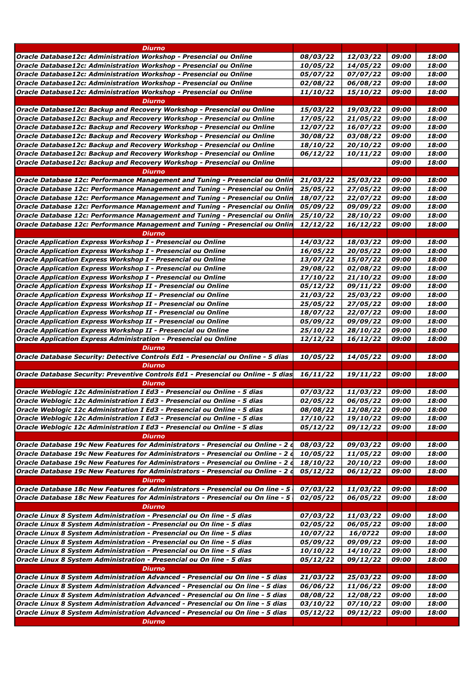| Oracle Database12c: Administration Workshop - Presencial ou Online<br>09:00<br>18:00<br>08/03/22<br>12/03/22<br>Oracle Database12c: Administration Workshop - Presencial ou Online<br>14/05/22<br>18:00<br>10/05/22<br>09:00<br>Oracle Database12c: Administration Workshop - Presencial ou Online<br>07/07/22<br>09:00<br>18:00<br>05/07/22<br>Oracle Database12c: Administration Workshop - Presencial ou Online<br>06/08/22<br>09:00<br>18:00<br>02/08/22<br>Oracle Database12c: Administration Workshop - Presencial ou Online<br>15/10/22<br>09:00<br>18:00<br>11/10/22<br><b>Diurno</b><br>Oracle Database12c: Backup and Recovery Workshop - Presencial ou Online<br>15/03/22<br>19/03/22<br>09:00<br>18:00<br>18:00<br>Oracle Database12c: Backup and Recovery Workshop - Presencial ou Online<br>17/05/22<br>21/05/22<br>09:00<br>18:00<br>Oracle Database12c: Backup and Recovery Workshop - Presencial ou Online<br>12/07/22<br>16/07/22<br>09:00<br>Oracle Database12c: Backup and Recovery Workshop - Presencial ou Online<br>03/08/22<br>09:00<br>18:00<br>30/08/22<br>Oracle Database12c: Backup and Recovery Workshop - Presencial ou Online<br>18:00<br>20/10/22<br>09:00<br><i><b>18/10/22</b></i><br>Oracle Database12c: Backup and Recovery Workshop - Presencial ou Online<br>09:00<br>18:00<br>10/11/22<br>06/12/22<br>Oracle Database12c: Backup and Recovery Workshop - Presencial ou Online<br>09:00<br>18:00<br><b>Diurno</b><br>Oracle Database 12c: Performance Management and Tuning - Presencial ou Onlin<br>21/03/22<br>25/03/22<br>09:00<br>18:00<br>Oracle Database 12c: Performance Management and Tuning - Presencial ou Onlin<br>25/05/22<br>27/05/22<br>09:00<br>18:00<br>Oracle Database 12c: Performance Management and Tuning - Presencial ou Onlin<br>22/07/22<br>18:00<br>18/07/22<br>09:00<br>09:00<br>18:00<br> Oracle Database 12c: Performance Management and Tuning - Presencial ou Onlin<br>05/09/22<br>09/09/22<br> Oracle Database 12c: Performance Management and Tuning - Presencial ou Onlin<br>25/10/22<br>28/10/22<br>09:00<br>18:00<br>16/12/22<br>18:00<br>Oracle Database 12c: Performance Management and Tuning - Presencial ou Onlin<br>12/12/22<br>09:00<br><b>Diurno</b><br>Oracle Application Express Workshop I - Presencial ou Online<br>14/03/22<br>18/03/22<br>09:00<br>18:00<br>Oracle Application Express Workshop I - Presencial ou Online<br>20/05/22<br>09:00<br>18:00<br>16/05/22<br>Oracle Application Express Workshop I - Presencial ou Online<br>18:00<br>13/07/22<br>15/07/22<br>09:00<br>Oracle Application Express Workshop I - Presencial ou Online<br>29/08/22<br>02/08/22<br>09:00<br>18:00<br>18:00<br>Oracle Application Express Workshop I - Presencial ou Online<br>17/10/22<br>21/10/22<br>09:00<br>09/11/22<br>09:00<br>18:00<br><b>Oracle Application Express Workshop II - Presencial ou Online</b><br>05/12/22<br>25/03/22<br>09:00<br>18:00<br> Oracle Application Express Workshop II - Presencial ou Online<br>21/03/22<br>Oracle Application Express Workshop II - Presencial ou Online<br>27/05/22<br>09:00<br>18:00<br>25/05/22<br>Oracle Application Express Workshop II - Presencial ou Online<br>18:00<br>18/07/22<br>22/07/22<br>09:00<br>18:00<br> Oracle Application Express Workshop II - Presencial ou Online<br>05/09/22<br>09/09/22<br>09:00<br>Oracle Application Express Workshop II - Presencial ou Online<br>25/10/22<br>28/10/22<br>09:00<br>18:00<br>16/12/22<br>09:00<br>18:00<br><b>Oracle Application Express Administration - Presencial ou Online</b><br>12/12/22<br><b>Diurno</b><br>14/05/22<br>18:00<br> Oracle Database Security: Detective Controls Ed1 - Presencial ou Online - 5 dias<br>10/05/22<br>09:00<br><b>Diurno</b><br>16/11/22<br>19/11/22<br>09:00<br>18:00<br>Diurno<br>Oracle Weblogic 12c Administration I Ed3 - Presencial ou Online - 5 dias<br>07/03/22<br>11/03/22<br>09:00<br>18:00<br>06/05/22<br>02/05/22<br>09:00<br>18:00<br>Oracle Weblogic 12c Administration I Ed3 - Presencial ou Online - 5 dias<br><i><b>08/08/22</b></i><br>12/08/22<br>09:00<br>18:00<br>18:00<br>17/10/22<br>19/10/22<br>09:00<br>Oracle Weblogic 12c Administration I Ed3 - Presencial ou Online - 5 dias<br>18:00<br>09/12/22<br>09:00<br>05/12/22<br>Diurno<br>Oracle Database 19c New Features for Administrators - Presencial ou Online - 2 d<br>08/03/22<br>09/03/22<br>09:00<br>18:00<br>Oracle Database 19c New Features for Administrators - Presencial ou Online - 2 d<br>10/05/22<br>11/05/22<br>09:00<br>18:00<br>18/10/22<br>20/10/22<br> Oracle Database 19c New Features for Administrators - Presencial ou Online - 2 d<br>09:00<br>18:00<br>Oracle Database 19c New Features for Administrators - Presencial ou Online - 2 d<br>05/12/22<br>09:00<br>18:00<br>06/12/22<br><b>Diurno</b><br>Oracle Database 18c New Features for Administrators - Presencial ou On line - 5<br>07/03/22<br>11/03/22<br>09:00<br>18:00<br>Oracle Database 18c New Features for Administrators - Presencial ou On line - 5<br>02/05/22<br>06/05/22<br>09:00<br>18:00<br><b>Diurno</b><br>07/03/22<br>11/03/22<br>09:00<br>18:00<br>Oracle Linux 8 System Administration - Presencial ou On line - 5 dias<br>02/05/22<br>06/05/22<br>09:00<br>18:00<br>Oracle Linux 8 System Administration - Presencial ou On line - 5 dias<br>18:00<br>10/07/22<br>16/0722<br>09:00<br>Oracle Linux 8 System Administration - Presencial ou On line - 5 dias<br>05/09/22<br>09/09/22<br>09:00<br>18:00<br>14/10/22<br>Oracle Linux 8 System Administration - Presencial ou On line - 5 dias<br>10/10/22<br>09:00<br>18:00<br>Oracle Linux 8 System Administration - Presencial ou On line - 5 dias<br>18:00<br>05/12/22<br>09/12/22<br>09:00<br><b>Diurno</b><br>Oracle Linux 8 System Administration Advanced - Presencial ou On line - 5 dias<br>21/03/22<br>25/03/22<br>09:00<br>18:00<br>Oracle Linux 8 System Administration Advanced - Presencial ou On line - 5 dias<br>18:00<br>06/06/22<br>11/06/22<br>09:00<br>Oracle Linux 8 System Administration Advanced - Presencial ou On line - 5 dias<br>08/08/22<br>12/08/22<br>09:00<br>18:00<br>07/10/22<br> Oracle Linux 8 System Administration Advanced - Presencial ou On line - 5 dias<br>03/10/22<br>09:00<br>18:00<br>Oracle Linux 8 System Administration Advanced - Presencial ou On line - 5 dias<br>05/12/22<br>09/12/22<br>18:00<br>09:00<br><b>Diurno</b> | Diurno                                                                                                                                                                                                                        |  |  |
|-----------------------------------------------------------------------------------------------------------------------------------------------------------------------------------------------------------------------------------------------------------------------------------------------------------------------------------------------------------------------------------------------------------------------------------------------------------------------------------------------------------------------------------------------------------------------------------------------------------------------------------------------------------------------------------------------------------------------------------------------------------------------------------------------------------------------------------------------------------------------------------------------------------------------------------------------------------------------------------------------------------------------------------------------------------------------------------------------------------------------------------------------------------------------------------------------------------------------------------------------------------------------------------------------------------------------------------------------------------------------------------------------------------------------------------------------------------------------------------------------------------------------------------------------------------------------------------------------------------------------------------------------------------------------------------------------------------------------------------------------------------------------------------------------------------------------------------------------------------------------------------------------------------------------------------------------------------------------------------------------------------------------------------------------------------------------------------------------------------------------------------------------------------------------------------------------------------------------------------------------------------------------------------------------------------------------------------------------------------------------------------------------------------------------------------------------------------------------------------------------------------------------------------------------------------------------------------------------------------------------------------------------------------------------------------------------------------------------------------------------------------------------------------------------------------------------------------------------------------------------------------------------------------------------------------------------------------------------------------------------------------------------------------------------------------------------------------------------------------------------------------------------------------------------------------------------------------------------------------------------------------------------------------------------------------------------------------------------------------------------------------------------------------------------------------------------------------------------------------------------------------------------------------------------------------------------------------------------------------------------------------------------------------------------------------------------------------------------------------------------------------------------------------------------------------------------------------------------------------------------------------------------------------------------------------------------------------------------------------------------------------------------------------------------------------------------------------------------------------------------------------------------------------------------------------------------------------------------------------------------------------------------------------------------------------------------------------------------------------------------------------------------------------------------------------------------------------------------------------------------------------------------------------------------------------------------------------------------------------------------------------------------------------------------------------------------------------------------------------------------------------------------------------------------------------------------------------------------------------------------------------------------------------------------------------------------------------------------------------------------------------------------------------------------------------------------------------------------------------------------------------------------------------------------------------------------------------------------------------------------------------------------------------------------------------------------------------------------------------------------------------------------------------------------------------------------------------------------------------------------------------------------------------------------------------------------------------------------------------------------------------------------------------------------------------------------------------------------------------------------------------------------------------------------------------------------------------------------------------------------------------------------------------------------------------------------------------------------------------------------------------------------------------------------------------------------------------------------------------------------------------------------------------------------------------------------------------------------------------------------------------------------------------------------------------------------------------------------------------------------------------------------------------------------------------------|-------------------------------------------------------------------------------------------------------------------------------------------------------------------------------------------------------------------------------|--|--|
|                                                                                                                                                                                                                                                                                                                                                                                                                                                                                                                                                                                                                                                                                                                                                                                                                                                                                                                                                                                                                                                                                                                                                                                                                                                                                                                                                                                                                                                                                                                                                                                                                                                                                                                                                                                                                                                                                                                                                                                                                                                                                                                                                                                                                                                                                                                                                                                                                                                                                                                                                                                                                                                                                                                                                                                                                                                                                                                                                                                                                                                                                                                                                                                                                                                                                                                                                                                                                                                                                                                                                                                                                                                                                                                                                                                                                                                                                                                                                                                                                                                                                                                                                                                                                                                                                                                                                                                                                                                                                                                                                                                                                                                                                                                                                                                                                                                                                                                                                                                                                                                                                                                                                                                                                                                                                                                                                                                                                                                                                                                                                                                                                                                                                                                                                                                                                                                                                                                                                                                                                                                                                                                                                                                                                                                                                                                                                                                                                                         |                                                                                                                                                                                                                               |  |  |
|                                                                                                                                                                                                                                                                                                                                                                                                                                                                                                                                                                                                                                                                                                                                                                                                                                                                                                                                                                                                                                                                                                                                                                                                                                                                                                                                                                                                                                                                                                                                                                                                                                                                                                                                                                                                                                                                                                                                                                                                                                                                                                                                                                                                                                                                                                                                                                                                                                                                                                                                                                                                                                                                                                                                                                                                                                                                                                                                                                                                                                                                                                                                                                                                                                                                                                                                                                                                                                                                                                                                                                                                                                                                                                                                                                                                                                                                                                                                                                                                                                                                                                                                                                                                                                                                                                                                                                                                                                                                                                                                                                                                                                                                                                                                                                                                                                                                                                                                                                                                                                                                                                                                                                                                                                                                                                                                                                                                                                                                                                                                                                                                                                                                                                                                                                                                                                                                                                                                                                                                                                                                                                                                                                                                                                                                                                                                                                                                                                         |                                                                                                                                                                                                                               |  |  |
|                                                                                                                                                                                                                                                                                                                                                                                                                                                                                                                                                                                                                                                                                                                                                                                                                                                                                                                                                                                                                                                                                                                                                                                                                                                                                                                                                                                                                                                                                                                                                                                                                                                                                                                                                                                                                                                                                                                                                                                                                                                                                                                                                                                                                                                                                                                                                                                                                                                                                                                                                                                                                                                                                                                                                                                                                                                                                                                                                                                                                                                                                                                                                                                                                                                                                                                                                                                                                                                                                                                                                                                                                                                                                                                                                                                                                                                                                                                                                                                                                                                                                                                                                                                                                                                                                                                                                                                                                                                                                                                                                                                                                                                                                                                                                                                                                                                                                                                                                                                                                                                                                                                                                                                                                                                                                                                                                                                                                                                                                                                                                                                                                                                                                                                                                                                                                                                                                                                                                                                                                                                                                                                                                                                                                                                                                                                                                                                                                                         |                                                                                                                                                                                                                               |  |  |
|                                                                                                                                                                                                                                                                                                                                                                                                                                                                                                                                                                                                                                                                                                                                                                                                                                                                                                                                                                                                                                                                                                                                                                                                                                                                                                                                                                                                                                                                                                                                                                                                                                                                                                                                                                                                                                                                                                                                                                                                                                                                                                                                                                                                                                                                                                                                                                                                                                                                                                                                                                                                                                                                                                                                                                                                                                                                                                                                                                                                                                                                                                                                                                                                                                                                                                                                                                                                                                                                                                                                                                                                                                                                                                                                                                                                                                                                                                                                                                                                                                                                                                                                                                                                                                                                                                                                                                                                                                                                                                                                                                                                                                                                                                                                                                                                                                                                                                                                                                                                                                                                                                                                                                                                                                                                                                                                                                                                                                                                                                                                                                                                                                                                                                                                                                                                                                                                                                                                                                                                                                                                                                                                                                                                                                                                                                                                                                                                                                         |                                                                                                                                                                                                                               |  |  |
|                                                                                                                                                                                                                                                                                                                                                                                                                                                                                                                                                                                                                                                                                                                                                                                                                                                                                                                                                                                                                                                                                                                                                                                                                                                                                                                                                                                                                                                                                                                                                                                                                                                                                                                                                                                                                                                                                                                                                                                                                                                                                                                                                                                                                                                                                                                                                                                                                                                                                                                                                                                                                                                                                                                                                                                                                                                                                                                                                                                                                                                                                                                                                                                                                                                                                                                                                                                                                                                                                                                                                                                                                                                                                                                                                                                                                                                                                                                                                                                                                                                                                                                                                                                                                                                                                                                                                                                                                                                                                                                                                                                                                                                                                                                                                                                                                                                                                                                                                                                                                                                                                                                                                                                                                                                                                                                                                                                                                                                                                                                                                                                                                                                                                                                                                                                                                                                                                                                                                                                                                                                                                                                                                                                                                                                                                                                                                                                                                                         |                                                                                                                                                                                                                               |  |  |
|                                                                                                                                                                                                                                                                                                                                                                                                                                                                                                                                                                                                                                                                                                                                                                                                                                                                                                                                                                                                                                                                                                                                                                                                                                                                                                                                                                                                                                                                                                                                                                                                                                                                                                                                                                                                                                                                                                                                                                                                                                                                                                                                                                                                                                                                                                                                                                                                                                                                                                                                                                                                                                                                                                                                                                                                                                                                                                                                                                                                                                                                                                                                                                                                                                                                                                                                                                                                                                                                                                                                                                                                                                                                                                                                                                                                                                                                                                                                                                                                                                                                                                                                                                                                                                                                                                                                                                                                                                                                                                                                                                                                                                                                                                                                                                                                                                                                                                                                                                                                                                                                                                                                                                                                                                                                                                                                                                                                                                                                                                                                                                                                                                                                                                                                                                                                                                                                                                                                                                                                                                                                                                                                                                                                                                                                                                                                                                                                                                         |                                                                                                                                                                                                                               |  |  |
|                                                                                                                                                                                                                                                                                                                                                                                                                                                                                                                                                                                                                                                                                                                                                                                                                                                                                                                                                                                                                                                                                                                                                                                                                                                                                                                                                                                                                                                                                                                                                                                                                                                                                                                                                                                                                                                                                                                                                                                                                                                                                                                                                                                                                                                                                                                                                                                                                                                                                                                                                                                                                                                                                                                                                                                                                                                                                                                                                                                                                                                                                                                                                                                                                                                                                                                                                                                                                                                                                                                                                                                                                                                                                                                                                                                                                                                                                                                                                                                                                                                                                                                                                                                                                                                                                                                                                                                                                                                                                                                                                                                                                                                                                                                                                                                                                                                                                                                                                                                                                                                                                                                                                                                                                                                                                                                                                                                                                                                                                                                                                                                                                                                                                                                                                                                                                                                                                                                                                                                                                                                                                                                                                                                                                                                                                                                                                                                                                                         |                                                                                                                                                                                                                               |  |  |
|                                                                                                                                                                                                                                                                                                                                                                                                                                                                                                                                                                                                                                                                                                                                                                                                                                                                                                                                                                                                                                                                                                                                                                                                                                                                                                                                                                                                                                                                                                                                                                                                                                                                                                                                                                                                                                                                                                                                                                                                                                                                                                                                                                                                                                                                                                                                                                                                                                                                                                                                                                                                                                                                                                                                                                                                                                                                                                                                                                                                                                                                                                                                                                                                                                                                                                                                                                                                                                                                                                                                                                                                                                                                                                                                                                                                                                                                                                                                                                                                                                                                                                                                                                                                                                                                                                                                                                                                                                                                                                                                                                                                                                                                                                                                                                                                                                                                                                                                                                                                                                                                                                                                                                                                                                                                                                                                                                                                                                                                                                                                                                                                                                                                                                                                                                                                                                                                                                                                                                                                                                                                                                                                                                                                                                                                                                                                                                                                                                         |                                                                                                                                                                                                                               |  |  |
|                                                                                                                                                                                                                                                                                                                                                                                                                                                                                                                                                                                                                                                                                                                                                                                                                                                                                                                                                                                                                                                                                                                                                                                                                                                                                                                                                                                                                                                                                                                                                                                                                                                                                                                                                                                                                                                                                                                                                                                                                                                                                                                                                                                                                                                                                                                                                                                                                                                                                                                                                                                                                                                                                                                                                                                                                                                                                                                                                                                                                                                                                                                                                                                                                                                                                                                                                                                                                                                                                                                                                                                                                                                                                                                                                                                                                                                                                                                                                                                                                                                                                                                                                                                                                                                                                                                                                                                                                                                                                                                                                                                                                                                                                                                                                                                                                                                                                                                                                                                                                                                                                                                                                                                                                                                                                                                                                                                                                                                                                                                                                                                                                                                                                                                                                                                                                                                                                                                                                                                                                                                                                                                                                                                                                                                                                                                                                                                                                                         |                                                                                                                                                                                                                               |  |  |
|                                                                                                                                                                                                                                                                                                                                                                                                                                                                                                                                                                                                                                                                                                                                                                                                                                                                                                                                                                                                                                                                                                                                                                                                                                                                                                                                                                                                                                                                                                                                                                                                                                                                                                                                                                                                                                                                                                                                                                                                                                                                                                                                                                                                                                                                                                                                                                                                                                                                                                                                                                                                                                                                                                                                                                                                                                                                                                                                                                                                                                                                                                                                                                                                                                                                                                                                                                                                                                                                                                                                                                                                                                                                                                                                                                                                                                                                                                                                                                                                                                                                                                                                                                                                                                                                                                                                                                                                                                                                                                                                                                                                                                                                                                                                                                                                                                                                                                                                                                                                                                                                                                                                                                                                                                                                                                                                                                                                                                                                                                                                                                                                                                                                                                                                                                                                                                                                                                                                                                                                                                                                                                                                                                                                                                                                                                                                                                                                                                         |                                                                                                                                                                                                                               |  |  |
|                                                                                                                                                                                                                                                                                                                                                                                                                                                                                                                                                                                                                                                                                                                                                                                                                                                                                                                                                                                                                                                                                                                                                                                                                                                                                                                                                                                                                                                                                                                                                                                                                                                                                                                                                                                                                                                                                                                                                                                                                                                                                                                                                                                                                                                                                                                                                                                                                                                                                                                                                                                                                                                                                                                                                                                                                                                                                                                                                                                                                                                                                                                                                                                                                                                                                                                                                                                                                                                                                                                                                                                                                                                                                                                                                                                                                                                                                                                                                                                                                                                                                                                                                                                                                                                                                                                                                                                                                                                                                                                                                                                                                                                                                                                                                                                                                                                                                                                                                                                                                                                                                                                                                                                                                                                                                                                                                                                                                                                                                                                                                                                                                                                                                                                                                                                                                                                                                                                                                                                                                                                                                                                                                                                                                                                                                                                                                                                                                                         |                                                                                                                                                                                                                               |  |  |
|                                                                                                                                                                                                                                                                                                                                                                                                                                                                                                                                                                                                                                                                                                                                                                                                                                                                                                                                                                                                                                                                                                                                                                                                                                                                                                                                                                                                                                                                                                                                                                                                                                                                                                                                                                                                                                                                                                                                                                                                                                                                                                                                                                                                                                                                                                                                                                                                                                                                                                                                                                                                                                                                                                                                                                                                                                                                                                                                                                                                                                                                                                                                                                                                                                                                                                                                                                                                                                                                                                                                                                                                                                                                                                                                                                                                                                                                                                                                                                                                                                                                                                                                                                                                                                                                                                                                                                                                                                                                                                                                                                                                                                                                                                                                                                                                                                                                                                                                                                                                                                                                                                                                                                                                                                                                                                                                                                                                                                                                                                                                                                                                                                                                                                                                                                                                                                                                                                                                                                                                                                                                                                                                                                                                                                                                                                                                                                                                                                         |                                                                                                                                                                                                                               |  |  |
|                                                                                                                                                                                                                                                                                                                                                                                                                                                                                                                                                                                                                                                                                                                                                                                                                                                                                                                                                                                                                                                                                                                                                                                                                                                                                                                                                                                                                                                                                                                                                                                                                                                                                                                                                                                                                                                                                                                                                                                                                                                                                                                                                                                                                                                                                                                                                                                                                                                                                                                                                                                                                                                                                                                                                                                                                                                                                                                                                                                                                                                                                                                                                                                                                                                                                                                                                                                                                                                                                                                                                                                                                                                                                                                                                                                                                                                                                                                                                                                                                                                                                                                                                                                                                                                                                                                                                                                                                                                                                                                                                                                                                                                                                                                                                                                                                                                                                                                                                                                                                                                                                                                                                                                                                                                                                                                                                                                                                                                                                                                                                                                                                                                                                                                                                                                                                                                                                                                                                                                                                                                                                                                                                                                                                                                                                                                                                                                                                                         |                                                                                                                                                                                                                               |  |  |
|                                                                                                                                                                                                                                                                                                                                                                                                                                                                                                                                                                                                                                                                                                                                                                                                                                                                                                                                                                                                                                                                                                                                                                                                                                                                                                                                                                                                                                                                                                                                                                                                                                                                                                                                                                                                                                                                                                                                                                                                                                                                                                                                                                                                                                                                                                                                                                                                                                                                                                                                                                                                                                                                                                                                                                                                                                                                                                                                                                                                                                                                                                                                                                                                                                                                                                                                                                                                                                                                                                                                                                                                                                                                                                                                                                                                                                                                                                                                                                                                                                                                                                                                                                                                                                                                                                                                                                                                                                                                                                                                                                                                                                                                                                                                                                                                                                                                                                                                                                                                                                                                                                                                                                                                                                                                                                                                                                                                                                                                                                                                                                                                                                                                                                                                                                                                                                                                                                                                                                                                                                                                                                                                                                                                                                                                                                                                                                                                                                         |                                                                                                                                                                                                                               |  |  |
|                                                                                                                                                                                                                                                                                                                                                                                                                                                                                                                                                                                                                                                                                                                                                                                                                                                                                                                                                                                                                                                                                                                                                                                                                                                                                                                                                                                                                                                                                                                                                                                                                                                                                                                                                                                                                                                                                                                                                                                                                                                                                                                                                                                                                                                                                                                                                                                                                                                                                                                                                                                                                                                                                                                                                                                                                                                                                                                                                                                                                                                                                                                                                                                                                                                                                                                                                                                                                                                                                                                                                                                                                                                                                                                                                                                                                                                                                                                                                                                                                                                                                                                                                                                                                                                                                                                                                                                                                                                                                                                                                                                                                                                                                                                                                                                                                                                                                                                                                                                                                                                                                                                                                                                                                                                                                                                                                                                                                                                                                                                                                                                                                                                                                                                                                                                                                                                                                                                                                                                                                                                                                                                                                                                                                                                                                                                                                                                                                                         |                                                                                                                                                                                                                               |  |  |
|                                                                                                                                                                                                                                                                                                                                                                                                                                                                                                                                                                                                                                                                                                                                                                                                                                                                                                                                                                                                                                                                                                                                                                                                                                                                                                                                                                                                                                                                                                                                                                                                                                                                                                                                                                                                                                                                                                                                                                                                                                                                                                                                                                                                                                                                                                                                                                                                                                                                                                                                                                                                                                                                                                                                                                                                                                                                                                                                                                                                                                                                                                                                                                                                                                                                                                                                                                                                                                                                                                                                                                                                                                                                                                                                                                                                                                                                                                                                                                                                                                                                                                                                                                                                                                                                                                                                                                                                                                                                                                                                                                                                                                                                                                                                                                                                                                                                                                                                                                                                                                                                                                                                                                                                                                                                                                                                                                                                                                                                                                                                                                                                                                                                                                                                                                                                                                                                                                                                                                                                                                                                                                                                                                                                                                                                                                                                                                                                                                         |                                                                                                                                                                                                                               |  |  |
|                                                                                                                                                                                                                                                                                                                                                                                                                                                                                                                                                                                                                                                                                                                                                                                                                                                                                                                                                                                                                                                                                                                                                                                                                                                                                                                                                                                                                                                                                                                                                                                                                                                                                                                                                                                                                                                                                                                                                                                                                                                                                                                                                                                                                                                                                                                                                                                                                                                                                                                                                                                                                                                                                                                                                                                                                                                                                                                                                                                                                                                                                                                                                                                                                                                                                                                                                                                                                                                                                                                                                                                                                                                                                                                                                                                                                                                                                                                                                                                                                                                                                                                                                                                                                                                                                                                                                                                                                                                                                                                                                                                                                                                                                                                                                                                                                                                                                                                                                                                                                                                                                                                                                                                                                                                                                                                                                                                                                                                                                                                                                                                                                                                                                                                                                                                                                                                                                                                                                                                                                                                                                                                                                                                                                                                                                                                                                                                                                                         |                                                                                                                                                                                                                               |  |  |
|                                                                                                                                                                                                                                                                                                                                                                                                                                                                                                                                                                                                                                                                                                                                                                                                                                                                                                                                                                                                                                                                                                                                                                                                                                                                                                                                                                                                                                                                                                                                                                                                                                                                                                                                                                                                                                                                                                                                                                                                                                                                                                                                                                                                                                                                                                                                                                                                                                                                                                                                                                                                                                                                                                                                                                                                                                                                                                                                                                                                                                                                                                                                                                                                                                                                                                                                                                                                                                                                                                                                                                                                                                                                                                                                                                                                                                                                                                                                                                                                                                                                                                                                                                                                                                                                                                                                                                                                                                                                                                                                                                                                                                                                                                                                                                                                                                                                                                                                                                                                                                                                                                                                                                                                                                                                                                                                                                                                                                                                                                                                                                                                                                                                                                                                                                                                                                                                                                                                                                                                                                                                                                                                                                                                                                                                                                                                                                                                                                         |                                                                                                                                                                                                                               |  |  |
|                                                                                                                                                                                                                                                                                                                                                                                                                                                                                                                                                                                                                                                                                                                                                                                                                                                                                                                                                                                                                                                                                                                                                                                                                                                                                                                                                                                                                                                                                                                                                                                                                                                                                                                                                                                                                                                                                                                                                                                                                                                                                                                                                                                                                                                                                                                                                                                                                                                                                                                                                                                                                                                                                                                                                                                                                                                                                                                                                                                                                                                                                                                                                                                                                                                                                                                                                                                                                                                                                                                                                                                                                                                                                                                                                                                                                                                                                                                                                                                                                                                                                                                                                                                                                                                                                                                                                                                                                                                                                                                                                                                                                                                                                                                                                                                                                                                                                                                                                                                                                                                                                                                                                                                                                                                                                                                                                                                                                                                                                                                                                                                                                                                                                                                                                                                                                                                                                                                                                                                                                                                                                                                                                                                                                                                                                                                                                                                                                                         |                                                                                                                                                                                                                               |  |  |
|                                                                                                                                                                                                                                                                                                                                                                                                                                                                                                                                                                                                                                                                                                                                                                                                                                                                                                                                                                                                                                                                                                                                                                                                                                                                                                                                                                                                                                                                                                                                                                                                                                                                                                                                                                                                                                                                                                                                                                                                                                                                                                                                                                                                                                                                                                                                                                                                                                                                                                                                                                                                                                                                                                                                                                                                                                                                                                                                                                                                                                                                                                                                                                                                                                                                                                                                                                                                                                                                                                                                                                                                                                                                                                                                                                                                                                                                                                                                                                                                                                                                                                                                                                                                                                                                                                                                                                                                                                                                                                                                                                                                                                                                                                                                                                                                                                                                                                                                                                                                                                                                                                                                                                                                                                                                                                                                                                                                                                                                                                                                                                                                                                                                                                                                                                                                                                                                                                                                                                                                                                                                                                                                                                                                                                                                                                                                                                                                                                         |                                                                                                                                                                                                                               |  |  |
|                                                                                                                                                                                                                                                                                                                                                                                                                                                                                                                                                                                                                                                                                                                                                                                                                                                                                                                                                                                                                                                                                                                                                                                                                                                                                                                                                                                                                                                                                                                                                                                                                                                                                                                                                                                                                                                                                                                                                                                                                                                                                                                                                                                                                                                                                                                                                                                                                                                                                                                                                                                                                                                                                                                                                                                                                                                                                                                                                                                                                                                                                                                                                                                                                                                                                                                                                                                                                                                                                                                                                                                                                                                                                                                                                                                                                                                                                                                                                                                                                                                                                                                                                                                                                                                                                                                                                                                                                                                                                                                                                                                                                                                                                                                                                                                                                                                                                                                                                                                                                                                                                                                                                                                                                                                                                                                                                                                                                                                                                                                                                                                                                                                                                                                                                                                                                                                                                                                                                                                                                                                                                                                                                                                                                                                                                                                                                                                                                                         |                                                                                                                                                                                                                               |  |  |
|                                                                                                                                                                                                                                                                                                                                                                                                                                                                                                                                                                                                                                                                                                                                                                                                                                                                                                                                                                                                                                                                                                                                                                                                                                                                                                                                                                                                                                                                                                                                                                                                                                                                                                                                                                                                                                                                                                                                                                                                                                                                                                                                                                                                                                                                                                                                                                                                                                                                                                                                                                                                                                                                                                                                                                                                                                                                                                                                                                                                                                                                                                                                                                                                                                                                                                                                                                                                                                                                                                                                                                                                                                                                                                                                                                                                                                                                                                                                                                                                                                                                                                                                                                                                                                                                                                                                                                                                                                                                                                                                                                                                                                                                                                                                                                                                                                                                                                                                                                                                                                                                                                                                                                                                                                                                                                                                                                                                                                                                                                                                                                                                                                                                                                                                                                                                                                                                                                                                                                                                                                                                                                                                                                                                                                                                                                                                                                                                                                         |                                                                                                                                                                                                                               |  |  |
|                                                                                                                                                                                                                                                                                                                                                                                                                                                                                                                                                                                                                                                                                                                                                                                                                                                                                                                                                                                                                                                                                                                                                                                                                                                                                                                                                                                                                                                                                                                                                                                                                                                                                                                                                                                                                                                                                                                                                                                                                                                                                                                                                                                                                                                                                                                                                                                                                                                                                                                                                                                                                                                                                                                                                                                                                                                                                                                                                                                                                                                                                                                                                                                                                                                                                                                                                                                                                                                                                                                                                                                                                                                                                                                                                                                                                                                                                                                                                                                                                                                                                                                                                                                                                                                                                                                                                                                                                                                                                                                                                                                                                                                                                                                                                                                                                                                                                                                                                                                                                                                                                                                                                                                                                                                                                                                                                                                                                                                                                                                                                                                                                                                                                                                                                                                                                                                                                                                                                                                                                                                                                                                                                                                                                                                                                                                                                                                                                                         |                                                                                                                                                                                                                               |  |  |
|                                                                                                                                                                                                                                                                                                                                                                                                                                                                                                                                                                                                                                                                                                                                                                                                                                                                                                                                                                                                                                                                                                                                                                                                                                                                                                                                                                                                                                                                                                                                                                                                                                                                                                                                                                                                                                                                                                                                                                                                                                                                                                                                                                                                                                                                                                                                                                                                                                                                                                                                                                                                                                                                                                                                                                                                                                                                                                                                                                                                                                                                                                                                                                                                                                                                                                                                                                                                                                                                                                                                                                                                                                                                                                                                                                                                                                                                                                                                                                                                                                                                                                                                                                                                                                                                                                                                                                                                                                                                                                                                                                                                                                                                                                                                                                                                                                                                                                                                                                                                                                                                                                                                                                                                                                                                                                                                                                                                                                                                                                                                                                                                                                                                                                                                                                                                                                                                                                                                                                                                                                                                                                                                                                                                                                                                                                                                                                                                                                         |                                                                                                                                                                                                                               |  |  |
|                                                                                                                                                                                                                                                                                                                                                                                                                                                                                                                                                                                                                                                                                                                                                                                                                                                                                                                                                                                                                                                                                                                                                                                                                                                                                                                                                                                                                                                                                                                                                                                                                                                                                                                                                                                                                                                                                                                                                                                                                                                                                                                                                                                                                                                                                                                                                                                                                                                                                                                                                                                                                                                                                                                                                                                                                                                                                                                                                                                                                                                                                                                                                                                                                                                                                                                                                                                                                                                                                                                                                                                                                                                                                                                                                                                                                                                                                                                                                                                                                                                                                                                                                                                                                                                                                                                                                                                                                                                                                                                                                                                                                                                                                                                                                                                                                                                                                                                                                                                                                                                                                                                                                                                                                                                                                                                                                                                                                                                                                                                                                                                                                                                                                                                                                                                                                                                                                                                                                                                                                                                                                                                                                                                                                                                                                                                                                                                                                                         |                                                                                                                                                                                                                               |  |  |
|                                                                                                                                                                                                                                                                                                                                                                                                                                                                                                                                                                                                                                                                                                                                                                                                                                                                                                                                                                                                                                                                                                                                                                                                                                                                                                                                                                                                                                                                                                                                                                                                                                                                                                                                                                                                                                                                                                                                                                                                                                                                                                                                                                                                                                                                                                                                                                                                                                                                                                                                                                                                                                                                                                                                                                                                                                                                                                                                                                                                                                                                                                                                                                                                                                                                                                                                                                                                                                                                                                                                                                                                                                                                                                                                                                                                                                                                                                                                                                                                                                                                                                                                                                                                                                                                                                                                                                                                                                                                                                                                                                                                                                                                                                                                                                                                                                                                                                                                                                                                                                                                                                                                                                                                                                                                                                                                                                                                                                                                                                                                                                                                                                                                                                                                                                                                                                                                                                                                                                                                                                                                                                                                                                                                                                                                                                                                                                                                                                         |                                                                                                                                                                                                                               |  |  |
|                                                                                                                                                                                                                                                                                                                                                                                                                                                                                                                                                                                                                                                                                                                                                                                                                                                                                                                                                                                                                                                                                                                                                                                                                                                                                                                                                                                                                                                                                                                                                                                                                                                                                                                                                                                                                                                                                                                                                                                                                                                                                                                                                                                                                                                                                                                                                                                                                                                                                                                                                                                                                                                                                                                                                                                                                                                                                                                                                                                                                                                                                                                                                                                                                                                                                                                                                                                                                                                                                                                                                                                                                                                                                                                                                                                                                                                                                                                                                                                                                                                                                                                                                                                                                                                                                                                                                                                                                                                                                                                                                                                                                                                                                                                                                                                                                                                                                                                                                                                                                                                                                                                                                                                                                                                                                                                                                                                                                                                                                                                                                                                                                                                                                                                                                                                                                                                                                                                                                                                                                                                                                                                                                                                                                                                                                                                                                                                                                                         |                                                                                                                                                                                                                               |  |  |
|                                                                                                                                                                                                                                                                                                                                                                                                                                                                                                                                                                                                                                                                                                                                                                                                                                                                                                                                                                                                                                                                                                                                                                                                                                                                                                                                                                                                                                                                                                                                                                                                                                                                                                                                                                                                                                                                                                                                                                                                                                                                                                                                                                                                                                                                                                                                                                                                                                                                                                                                                                                                                                                                                                                                                                                                                                                                                                                                                                                                                                                                                                                                                                                                                                                                                                                                                                                                                                                                                                                                                                                                                                                                                                                                                                                                                                                                                                                                                                                                                                                                                                                                                                                                                                                                                                                                                                                                                                                                                                                                                                                                                                                                                                                                                                                                                                                                                                                                                                                                                                                                                                                                                                                                                                                                                                                                                                                                                                                                                                                                                                                                                                                                                                                                                                                                                                                                                                                                                                                                                                                                                                                                                                                                                                                                                                                                                                                                                                         |                                                                                                                                                                                                                               |  |  |
|                                                                                                                                                                                                                                                                                                                                                                                                                                                                                                                                                                                                                                                                                                                                                                                                                                                                                                                                                                                                                                                                                                                                                                                                                                                                                                                                                                                                                                                                                                                                                                                                                                                                                                                                                                                                                                                                                                                                                                                                                                                                                                                                                                                                                                                                                                                                                                                                                                                                                                                                                                                                                                                                                                                                                                                                                                                                                                                                                                                                                                                                                                                                                                                                                                                                                                                                                                                                                                                                                                                                                                                                                                                                                                                                                                                                                                                                                                                                                                                                                                                                                                                                                                                                                                                                                                                                                                                                                                                                                                                                                                                                                                                                                                                                                                                                                                                                                                                                                                                                                                                                                                                                                                                                                                                                                                                                                                                                                                                                                                                                                                                                                                                                                                                                                                                                                                                                                                                                                                                                                                                                                                                                                                                                                                                                                                                                                                                                                                         |                                                                                                                                                                                                                               |  |  |
|                                                                                                                                                                                                                                                                                                                                                                                                                                                                                                                                                                                                                                                                                                                                                                                                                                                                                                                                                                                                                                                                                                                                                                                                                                                                                                                                                                                                                                                                                                                                                                                                                                                                                                                                                                                                                                                                                                                                                                                                                                                                                                                                                                                                                                                                                                                                                                                                                                                                                                                                                                                                                                                                                                                                                                                                                                                                                                                                                                                                                                                                                                                                                                                                                                                                                                                                                                                                                                                                                                                                                                                                                                                                                                                                                                                                                                                                                                                                                                                                                                                                                                                                                                                                                                                                                                                                                                                                                                                                                                                                                                                                                                                                                                                                                                                                                                                                                                                                                                                                                                                                                                                                                                                                                                                                                                                                                                                                                                                                                                                                                                                                                                                                                                                                                                                                                                                                                                                                                                                                                                                                                                                                                                                                                                                                                                                                                                                                                                         |                                                                                                                                                                                                                               |  |  |
|                                                                                                                                                                                                                                                                                                                                                                                                                                                                                                                                                                                                                                                                                                                                                                                                                                                                                                                                                                                                                                                                                                                                                                                                                                                                                                                                                                                                                                                                                                                                                                                                                                                                                                                                                                                                                                                                                                                                                                                                                                                                                                                                                                                                                                                                                                                                                                                                                                                                                                                                                                                                                                                                                                                                                                                                                                                                                                                                                                                                                                                                                                                                                                                                                                                                                                                                                                                                                                                                                                                                                                                                                                                                                                                                                                                                                                                                                                                                                                                                                                                                                                                                                                                                                                                                                                                                                                                                                                                                                                                                                                                                                                                                                                                                                                                                                                                                                                                                                                                                                                                                                                                                                                                                                                                                                                                                                                                                                                                                                                                                                                                                                                                                                                                                                                                                                                                                                                                                                                                                                                                                                                                                                                                                                                                                                                                                                                                                                                         |                                                                                                                                                                                                                               |  |  |
|                                                                                                                                                                                                                                                                                                                                                                                                                                                                                                                                                                                                                                                                                                                                                                                                                                                                                                                                                                                                                                                                                                                                                                                                                                                                                                                                                                                                                                                                                                                                                                                                                                                                                                                                                                                                                                                                                                                                                                                                                                                                                                                                                                                                                                                                                                                                                                                                                                                                                                                                                                                                                                                                                                                                                                                                                                                                                                                                                                                                                                                                                                                                                                                                                                                                                                                                                                                                                                                                                                                                                                                                                                                                                                                                                                                                                                                                                                                                                                                                                                                                                                                                                                                                                                                                                                                                                                                                                                                                                                                                                                                                                                                                                                                                                                                                                                                                                                                                                                                                                                                                                                                                                                                                                                                                                                                                                                                                                                                                                                                                                                                                                                                                                                                                                                                                                                                                                                                                                                                                                                                                                                                                                                                                                                                                                                                                                                                                                                         |                                                                                                                                                                                                                               |  |  |
|                                                                                                                                                                                                                                                                                                                                                                                                                                                                                                                                                                                                                                                                                                                                                                                                                                                                                                                                                                                                                                                                                                                                                                                                                                                                                                                                                                                                                                                                                                                                                                                                                                                                                                                                                                                                                                                                                                                                                                                                                                                                                                                                                                                                                                                                                                                                                                                                                                                                                                                                                                                                                                                                                                                                                                                                                                                                                                                                                                                                                                                                                                                                                                                                                                                                                                                                                                                                                                                                                                                                                                                                                                                                                                                                                                                                                                                                                                                                                                                                                                                                                                                                                                                                                                                                                                                                                                                                                                                                                                                                                                                                                                                                                                                                                                                                                                                                                                                                                                                                                                                                                                                                                                                                                                                                                                                                                                                                                                                                                                                                                                                                                                                                                                                                                                                                                                                                                                                                                                                                                                                                                                                                                                                                                                                                                                                                                                                                                                         |                                                                                                                                                                                                                               |  |  |
|                                                                                                                                                                                                                                                                                                                                                                                                                                                                                                                                                                                                                                                                                                                                                                                                                                                                                                                                                                                                                                                                                                                                                                                                                                                                                                                                                                                                                                                                                                                                                                                                                                                                                                                                                                                                                                                                                                                                                                                                                                                                                                                                                                                                                                                                                                                                                                                                                                                                                                                                                                                                                                                                                                                                                                                                                                                                                                                                                                                                                                                                                                                                                                                                                                                                                                                                                                                                                                                                                                                                                                                                                                                                                                                                                                                                                                                                                                                                                                                                                                                                                                                                                                                                                                                                                                                                                                                                                                                                                                                                                                                                                                                                                                                                                                                                                                                                                                                                                                                                                                                                                                                                                                                                                                                                                                                                                                                                                                                                                                                                                                                                                                                                                                                                                                                                                                                                                                                                                                                                                                                                                                                                                                                                                                                                                                                                                                                                                                         |                                                                                                                                                                                                                               |  |  |
|                                                                                                                                                                                                                                                                                                                                                                                                                                                                                                                                                                                                                                                                                                                                                                                                                                                                                                                                                                                                                                                                                                                                                                                                                                                                                                                                                                                                                                                                                                                                                                                                                                                                                                                                                                                                                                                                                                                                                                                                                                                                                                                                                                                                                                                                                                                                                                                                                                                                                                                                                                                                                                                                                                                                                                                                                                                                                                                                                                                                                                                                                                                                                                                                                                                                                                                                                                                                                                                                                                                                                                                                                                                                                                                                                                                                                                                                                                                                                                                                                                                                                                                                                                                                                                                                                                                                                                                                                                                                                                                                                                                                                                                                                                                                                                                                                                                                                                                                                                                                                                                                                                                                                                                                                                                                                                                                                                                                                                                                                                                                                                                                                                                                                                                                                                                                                                                                                                                                                                                                                                                                                                                                                                                                                                                                                                                                                                                                                                         |                                                                                                                                                                                                                               |  |  |
|                                                                                                                                                                                                                                                                                                                                                                                                                                                                                                                                                                                                                                                                                                                                                                                                                                                                                                                                                                                                                                                                                                                                                                                                                                                                                                                                                                                                                                                                                                                                                                                                                                                                                                                                                                                                                                                                                                                                                                                                                                                                                                                                                                                                                                                                                                                                                                                                                                                                                                                                                                                                                                                                                                                                                                                                                                                                                                                                                                                                                                                                                                                                                                                                                                                                                                                                                                                                                                                                                                                                                                                                                                                                                                                                                                                                                                                                                                                                                                                                                                                                                                                                                                                                                                                                                                                                                                                                                                                                                                                                                                                                                                                                                                                                                                                                                                                                                                                                                                                                                                                                                                                                                                                                                                                                                                                                                                                                                                                                                                                                                                                                                                                                                                                                                                                                                                                                                                                                                                                                                                                                                                                                                                                                                                                                                                                                                                                                                                         |                                                                                                                                                                                                                               |  |  |
|                                                                                                                                                                                                                                                                                                                                                                                                                                                                                                                                                                                                                                                                                                                                                                                                                                                                                                                                                                                                                                                                                                                                                                                                                                                                                                                                                                                                                                                                                                                                                                                                                                                                                                                                                                                                                                                                                                                                                                                                                                                                                                                                                                                                                                                                                                                                                                                                                                                                                                                                                                                                                                                                                                                                                                                                                                                                                                                                                                                                                                                                                                                                                                                                                                                                                                                                                                                                                                                                                                                                                                                                                                                                                                                                                                                                                                                                                                                                                                                                                                                                                                                                                                                                                                                                                                                                                                                                                                                                                                                                                                                                                                                                                                                                                                                                                                                                                                                                                                                                                                                                                                                                                                                                                                                                                                                                                                                                                                                                                                                                                                                                                                                                                                                                                                                                                                                                                                                                                                                                                                                                                                                                                                                                                                                                                                                                                                                                                                         |                                                                                                                                                                                                                               |  |  |
|                                                                                                                                                                                                                                                                                                                                                                                                                                                                                                                                                                                                                                                                                                                                                                                                                                                                                                                                                                                                                                                                                                                                                                                                                                                                                                                                                                                                                                                                                                                                                                                                                                                                                                                                                                                                                                                                                                                                                                                                                                                                                                                                                                                                                                                                                                                                                                                                                                                                                                                                                                                                                                                                                                                                                                                                                                                                                                                                                                                                                                                                                                                                                                                                                                                                                                                                                                                                                                                                                                                                                                                                                                                                                                                                                                                                                                                                                                                                                                                                                                                                                                                                                                                                                                                                                                                                                                                                                                                                                                                                                                                                                                                                                                                                                                                                                                                                                                                                                                                                                                                                                                                                                                                                                                                                                                                                                                                                                                                                                                                                                                                                                                                                                                                                                                                                                                                                                                                                                                                                                                                                                                                                                                                                                                                                                                                                                                                                                                         |                                                                                                                                                                                                                               |  |  |
|                                                                                                                                                                                                                                                                                                                                                                                                                                                                                                                                                                                                                                                                                                                                                                                                                                                                                                                                                                                                                                                                                                                                                                                                                                                                                                                                                                                                                                                                                                                                                                                                                                                                                                                                                                                                                                                                                                                                                                                                                                                                                                                                                                                                                                                                                                                                                                                                                                                                                                                                                                                                                                                                                                                                                                                                                                                                                                                                                                                                                                                                                                                                                                                                                                                                                                                                                                                                                                                                                                                                                                                                                                                                                                                                                                                                                                                                                                                                                                                                                                                                                                                                                                                                                                                                                                                                                                                                                                                                                                                                                                                                                                                                                                                                                                                                                                                                                                                                                                                                                                                                                                                                                                                                                                                                                                                                                                                                                                                                                                                                                                                                                                                                                                                                                                                                                                                                                                                                                                                                                                                                                                                                                                                                                                                                                                                                                                                                                                         | Oracle Database Security: Preventive Controls Ed1 - Presencial ou Online - 5 dias                                                                                                                                             |  |  |
|                                                                                                                                                                                                                                                                                                                                                                                                                                                                                                                                                                                                                                                                                                                                                                                                                                                                                                                                                                                                                                                                                                                                                                                                                                                                                                                                                                                                                                                                                                                                                                                                                                                                                                                                                                                                                                                                                                                                                                                                                                                                                                                                                                                                                                                                                                                                                                                                                                                                                                                                                                                                                                                                                                                                                                                                                                                                                                                                                                                                                                                                                                                                                                                                                                                                                                                                                                                                                                                                                                                                                                                                                                                                                                                                                                                                                                                                                                                                                                                                                                                                                                                                                                                                                                                                                                                                                                                                                                                                                                                                                                                                                                                                                                                                                                                                                                                                                                                                                                                                                                                                                                                                                                                                                                                                                                                                                                                                                                                                                                                                                                                                                                                                                                                                                                                                                                                                                                                                                                                                                                                                                                                                                                                                                                                                                                                                                                                                                                         |                                                                                                                                                                                                                               |  |  |
|                                                                                                                                                                                                                                                                                                                                                                                                                                                                                                                                                                                                                                                                                                                                                                                                                                                                                                                                                                                                                                                                                                                                                                                                                                                                                                                                                                                                                                                                                                                                                                                                                                                                                                                                                                                                                                                                                                                                                                                                                                                                                                                                                                                                                                                                                                                                                                                                                                                                                                                                                                                                                                                                                                                                                                                                                                                                                                                                                                                                                                                                                                                                                                                                                                                                                                                                                                                                                                                                                                                                                                                                                                                                                                                                                                                                                                                                                                                                                                                                                                                                                                                                                                                                                                                                                                                                                                                                                                                                                                                                                                                                                                                                                                                                                                                                                                                                                                                                                                                                                                                                                                                                                                                                                                                                                                                                                                                                                                                                                                                                                                                                                                                                                                                                                                                                                                                                                                                                                                                                                                                                                                                                                                                                                                                                                                                                                                                                                                         |                                                                                                                                                                                                                               |  |  |
|                                                                                                                                                                                                                                                                                                                                                                                                                                                                                                                                                                                                                                                                                                                                                                                                                                                                                                                                                                                                                                                                                                                                                                                                                                                                                                                                                                                                                                                                                                                                                                                                                                                                                                                                                                                                                                                                                                                                                                                                                                                                                                                                                                                                                                                                                                                                                                                                                                                                                                                                                                                                                                                                                                                                                                                                                                                                                                                                                                                                                                                                                                                                                                                                                                                                                                                                                                                                                                                                                                                                                                                                                                                                                                                                                                                                                                                                                                                                                                                                                                                                                                                                                                                                                                                                                                                                                                                                                                                                                                                                                                                                                                                                                                                                                                                                                                                                                                                                                                                                                                                                                                                                                                                                                                                                                                                                                                                                                                                                                                                                                                                                                                                                                                                                                                                                                                                                                                                                                                                                                                                                                                                                                                                                                                                                                                                                                                                                                                         |                                                                                                                                                                                                                               |  |  |
|                                                                                                                                                                                                                                                                                                                                                                                                                                                                                                                                                                                                                                                                                                                                                                                                                                                                                                                                                                                                                                                                                                                                                                                                                                                                                                                                                                                                                                                                                                                                                                                                                                                                                                                                                                                                                                                                                                                                                                                                                                                                                                                                                                                                                                                                                                                                                                                                                                                                                                                                                                                                                                                                                                                                                                                                                                                                                                                                                                                                                                                                                                                                                                                                                                                                                                                                                                                                                                                                                                                                                                                                                                                                                                                                                                                                                                                                                                                                                                                                                                                                                                                                                                                                                                                                                                                                                                                                                                                                                                                                                                                                                                                                                                                                                                                                                                                                                                                                                                                                                                                                                                                                                                                                                                                                                                                                                                                                                                                                                                                                                                                                                                                                                                                                                                                                                                                                                                                                                                                                                                                                                                                                                                                                                                                                                                                                                                                                                                         |                                                                                                                                                                                                                               |  |  |
|                                                                                                                                                                                                                                                                                                                                                                                                                                                                                                                                                                                                                                                                                                                                                                                                                                                                                                                                                                                                                                                                                                                                                                                                                                                                                                                                                                                                                                                                                                                                                                                                                                                                                                                                                                                                                                                                                                                                                                                                                                                                                                                                                                                                                                                                                                                                                                                                                                                                                                                                                                                                                                                                                                                                                                                                                                                                                                                                                                                                                                                                                                                                                                                                                                                                                                                                                                                                                                                                                                                                                                                                                                                                                                                                                                                                                                                                                                                                                                                                                                                                                                                                                                                                                                                                                                                                                                                                                                                                                                                                                                                                                                                                                                                                                                                                                                                                                                                                                                                                                                                                                                                                                                                                                                                                                                                                                                                                                                                                                                                                                                                                                                                                                                                                                                                                                                                                                                                                                                                                                                                                                                                                                                                                                                                                                                                                                                                                                                         |                                                                                                                                                                                                                               |  |  |
|                                                                                                                                                                                                                                                                                                                                                                                                                                                                                                                                                                                                                                                                                                                                                                                                                                                                                                                                                                                                                                                                                                                                                                                                                                                                                                                                                                                                                                                                                                                                                                                                                                                                                                                                                                                                                                                                                                                                                                                                                                                                                                                                                                                                                                                                                                                                                                                                                                                                                                                                                                                                                                                                                                                                                                                                                                                                                                                                                                                                                                                                                                                                                                                                                                                                                                                                                                                                                                                                                                                                                                                                                                                                                                                                                                                                                                                                                                                                                                                                                                                                                                                                                                                                                                                                                                                                                                                                                                                                                                                                                                                                                                                                                                                                                                                                                                                                                                                                                                                                                                                                                                                                                                                                                                                                                                                                                                                                                                                                                                                                                                                                                                                                                                                                                                                                                                                                                                                                                                                                                                                                                                                                                                                                                                                                                                                                                                                                                                         |                                                                                                                                                                                                                               |  |  |
|                                                                                                                                                                                                                                                                                                                                                                                                                                                                                                                                                                                                                                                                                                                                                                                                                                                                                                                                                                                                                                                                                                                                                                                                                                                                                                                                                                                                                                                                                                                                                                                                                                                                                                                                                                                                                                                                                                                                                                                                                                                                                                                                                                                                                                                                                                                                                                                                                                                                                                                                                                                                                                                                                                                                                                                                                                                                                                                                                                                                                                                                                                                                                                                                                                                                                                                                                                                                                                                                                                                                                                                                                                                                                                                                                                                                                                                                                                                                                                                                                                                                                                                                                                                                                                                                                                                                                                                                                                                                                                                                                                                                                                                                                                                                                                                                                                                                                                                                                                                                                                                                                                                                                                                                                                                                                                                                                                                                                                                                                                                                                                                                                                                                                                                                                                                                                                                                                                                                                                                                                                                                                                                                                                                                                                                                                                                                                                                                                                         |                                                                                                                                                                                                                               |  |  |
|                                                                                                                                                                                                                                                                                                                                                                                                                                                                                                                                                                                                                                                                                                                                                                                                                                                                                                                                                                                                                                                                                                                                                                                                                                                                                                                                                                                                                                                                                                                                                                                                                                                                                                                                                                                                                                                                                                                                                                                                                                                                                                                                                                                                                                                                                                                                                                                                                                                                                                                                                                                                                                                                                                                                                                                                                                                                                                                                                                                                                                                                                                                                                                                                                                                                                                                                                                                                                                                                                                                                                                                                                                                                                                                                                                                                                                                                                                                                                                                                                                                                                                                                                                                                                                                                                                                                                                                                                                                                                                                                                                                                                                                                                                                                                                                                                                                                                                                                                                                                                                                                                                                                                                                                                                                                                                                                                                                                                                                                                                                                                                                                                                                                                                                                                                                                                                                                                                                                                                                                                                                                                                                                                                                                                                                                                                                                                                                                                                         |                                                                                                                                                                                                                               |  |  |
|                                                                                                                                                                                                                                                                                                                                                                                                                                                                                                                                                                                                                                                                                                                                                                                                                                                                                                                                                                                                                                                                                                                                                                                                                                                                                                                                                                                                                                                                                                                                                                                                                                                                                                                                                                                                                                                                                                                                                                                                                                                                                                                                                                                                                                                                                                                                                                                                                                                                                                                                                                                                                                                                                                                                                                                                                                                                                                                                                                                                                                                                                                                                                                                                                                                                                                                                                                                                                                                                                                                                                                                                                                                                                                                                                                                                                                                                                                                                                                                                                                                                                                                                                                                                                                                                                                                                                                                                                                                                                                                                                                                                                                                                                                                                                                                                                                                                                                                                                                                                                                                                                                                                                                                                                                                                                                                                                                                                                                                                                                                                                                                                                                                                                                                                                                                                                                                                                                                                                                                                                                                                                                                                                                                                                                                                                                                                                                                                                                         |                                                                                                                                                                                                                               |  |  |
|                                                                                                                                                                                                                                                                                                                                                                                                                                                                                                                                                                                                                                                                                                                                                                                                                                                                                                                                                                                                                                                                                                                                                                                                                                                                                                                                                                                                                                                                                                                                                                                                                                                                                                                                                                                                                                                                                                                                                                                                                                                                                                                                                                                                                                                                                                                                                                                                                                                                                                                                                                                                                                                                                                                                                                                                                                                                                                                                                                                                                                                                                                                                                                                                                                                                                                                                                                                                                                                                                                                                                                                                                                                                                                                                                                                                                                                                                                                                                                                                                                                                                                                                                                                                                                                                                                                                                                                                                                                                                                                                                                                                                                                                                                                                                                                                                                                                                                                                                                                                                                                                                                                                                                                                                                                                                                                                                                                                                                                                                                                                                                                                                                                                                                                                                                                                                                                                                                                                                                                                                                                                                                                                                                                                                                                                                                                                                                                                                                         |                                                                                                                                                                                                                               |  |  |
|                                                                                                                                                                                                                                                                                                                                                                                                                                                                                                                                                                                                                                                                                                                                                                                                                                                                                                                                                                                                                                                                                                                                                                                                                                                                                                                                                                                                                                                                                                                                                                                                                                                                                                                                                                                                                                                                                                                                                                                                                                                                                                                                                                                                                                                                                                                                                                                                                                                                                                                                                                                                                                                                                                                                                                                                                                                                                                                                                                                                                                                                                                                                                                                                                                                                                                                                                                                                                                                                                                                                                                                                                                                                                                                                                                                                                                                                                                                                                                                                                                                                                                                                                                                                                                                                                                                                                                                                                                                                                                                                                                                                                                                                                                                                                                                                                                                                                                                                                                                                                                                                                                                                                                                                                                                                                                                                                                                                                                                                                                                                                                                                                                                                                                                                                                                                                                                                                                                                                                                                                                                                                                                                                                                                                                                                                                                                                                                                                                         |                                                                                                                                                                                                                               |  |  |
|                                                                                                                                                                                                                                                                                                                                                                                                                                                                                                                                                                                                                                                                                                                                                                                                                                                                                                                                                                                                                                                                                                                                                                                                                                                                                                                                                                                                                                                                                                                                                                                                                                                                                                                                                                                                                                                                                                                                                                                                                                                                                                                                                                                                                                                                                                                                                                                                                                                                                                                                                                                                                                                                                                                                                                                                                                                                                                                                                                                                                                                                                                                                                                                                                                                                                                                                                                                                                                                                                                                                                                                                                                                                                                                                                                                                                                                                                                                                                                                                                                                                                                                                                                                                                                                                                                                                                                                                                                                                                                                                                                                                                                                                                                                                                                                                                                                                                                                                                                                                                                                                                                                                                                                                                                                                                                                                                                                                                                                                                                                                                                                                                                                                                                                                                                                                                                                                                                                                                                                                                                                                                                                                                                                                                                                                                                                                                                                                                                         |                                                                                                                                                                                                                               |  |  |
|                                                                                                                                                                                                                                                                                                                                                                                                                                                                                                                                                                                                                                                                                                                                                                                                                                                                                                                                                                                                                                                                                                                                                                                                                                                                                                                                                                                                                                                                                                                                                                                                                                                                                                                                                                                                                                                                                                                                                                                                                                                                                                                                                                                                                                                                                                                                                                                                                                                                                                                                                                                                                                                                                                                                                                                                                                                                                                                                                                                                                                                                                                                                                                                                                                                                                                                                                                                                                                                                                                                                                                                                                                                                                                                                                                                                                                                                                                                                                                                                                                                                                                                                                                                                                                                                                                                                                                                                                                                                                                                                                                                                                                                                                                                                                                                                                                                                                                                                                                                                                                                                                                                                                                                                                                                                                                                                                                                                                                                                                                                                                                                                                                                                                                                                                                                                                                                                                                                                                                                                                                                                                                                                                                                                                                                                                                                                                                                                                                         |                                                                                                                                                                                                                               |  |  |
|                                                                                                                                                                                                                                                                                                                                                                                                                                                                                                                                                                                                                                                                                                                                                                                                                                                                                                                                                                                                                                                                                                                                                                                                                                                                                                                                                                                                                                                                                                                                                                                                                                                                                                                                                                                                                                                                                                                                                                                                                                                                                                                                                                                                                                                                                                                                                                                                                                                                                                                                                                                                                                                                                                                                                                                                                                                                                                                                                                                                                                                                                                                                                                                                                                                                                                                                                                                                                                                                                                                                                                                                                                                                                                                                                                                                                                                                                                                                                                                                                                                                                                                                                                                                                                                                                                                                                                                                                                                                                                                                                                                                                                                                                                                                                                                                                                                                                                                                                                                                                                                                                                                                                                                                                                                                                                                                                                                                                                                                                                                                                                                                                                                                                                                                                                                                                                                                                                                                                                                                                                                                                                                                                                                                                                                                                                                                                                                                                                         |                                                                                                                                                                                                                               |  |  |
|                                                                                                                                                                                                                                                                                                                                                                                                                                                                                                                                                                                                                                                                                                                                                                                                                                                                                                                                                                                                                                                                                                                                                                                                                                                                                                                                                                                                                                                                                                                                                                                                                                                                                                                                                                                                                                                                                                                                                                                                                                                                                                                                                                                                                                                                                                                                                                                                                                                                                                                                                                                                                                                                                                                                                                                                                                                                                                                                                                                                                                                                                                                                                                                                                                                                                                                                                                                                                                                                                                                                                                                                                                                                                                                                                                                                                                                                                                                                                                                                                                                                                                                                                                                                                                                                                                                                                                                                                                                                                                                                                                                                                                                                                                                                                                                                                                                                                                                                                                                                                                                                                                                                                                                                                                                                                                                                                                                                                                                                                                                                                                                                                                                                                                                                                                                                                                                                                                                                                                                                                                                                                                                                                                                                                                                                                                                                                                                                                                         |                                                                                                                                                                                                                               |  |  |
|                                                                                                                                                                                                                                                                                                                                                                                                                                                                                                                                                                                                                                                                                                                                                                                                                                                                                                                                                                                                                                                                                                                                                                                                                                                                                                                                                                                                                                                                                                                                                                                                                                                                                                                                                                                                                                                                                                                                                                                                                                                                                                                                                                                                                                                                                                                                                                                                                                                                                                                                                                                                                                                                                                                                                                                                                                                                                                                                                                                                                                                                                                                                                                                                                                                                                                                                                                                                                                                                                                                                                                                                                                                                                                                                                                                                                                                                                                                                                                                                                                                                                                                                                                                                                                                                                                                                                                                                                                                                                                                                                                                                                                                                                                                                                                                                                                                                                                                                                                                                                                                                                                                                                                                                                                                                                                                                                                                                                                                                                                                                                                                                                                                                                                                                                                                                                                                                                                                                                                                                                                                                                                                                                                                                                                                                                                                                                                                                                                         |                                                                                                                                                                                                                               |  |  |
|                                                                                                                                                                                                                                                                                                                                                                                                                                                                                                                                                                                                                                                                                                                                                                                                                                                                                                                                                                                                                                                                                                                                                                                                                                                                                                                                                                                                                                                                                                                                                                                                                                                                                                                                                                                                                                                                                                                                                                                                                                                                                                                                                                                                                                                                                                                                                                                                                                                                                                                                                                                                                                                                                                                                                                                                                                                                                                                                                                                                                                                                                                                                                                                                                                                                                                                                                                                                                                                                                                                                                                                                                                                                                                                                                                                                                                                                                                                                                                                                                                                                                                                                                                                                                                                                                                                                                                                                                                                                                                                                                                                                                                                                                                                                                                                                                                                                                                                                                                                                                                                                                                                                                                                                                                                                                                                                                                                                                                                                                                                                                                                                                                                                                                                                                                                                                                                                                                                                                                                                                                                                                                                                                                                                                                                                                                                                                                                                                                         |                                                                                                                                                                                                                               |  |  |
|                                                                                                                                                                                                                                                                                                                                                                                                                                                                                                                                                                                                                                                                                                                                                                                                                                                                                                                                                                                                                                                                                                                                                                                                                                                                                                                                                                                                                                                                                                                                                                                                                                                                                                                                                                                                                                                                                                                                                                                                                                                                                                                                                                                                                                                                                                                                                                                                                                                                                                                                                                                                                                                                                                                                                                                                                                                                                                                                                                                                                                                                                                                                                                                                                                                                                                                                                                                                                                                                                                                                                                                                                                                                                                                                                                                                                                                                                                                                                                                                                                                                                                                                                                                                                                                                                                                                                                                                                                                                                                                                                                                                                                                                                                                                                                                                                                                                                                                                                                                                                                                                                                                                                                                                                                                                                                                                                                                                                                                                                                                                                                                                                                                                                                                                                                                                                                                                                                                                                                                                                                                                                                                                                                                                                                                                                                                                                                                                                                         |                                                                                                                                                                                                                               |  |  |
|                                                                                                                                                                                                                                                                                                                                                                                                                                                                                                                                                                                                                                                                                                                                                                                                                                                                                                                                                                                                                                                                                                                                                                                                                                                                                                                                                                                                                                                                                                                                                                                                                                                                                                                                                                                                                                                                                                                                                                                                                                                                                                                                                                                                                                                                                                                                                                                                                                                                                                                                                                                                                                                                                                                                                                                                                                                                                                                                                                                                                                                                                                                                                                                                                                                                                                                                                                                                                                                                                                                                                                                                                                                                                                                                                                                                                                                                                                                                                                                                                                                                                                                                                                                                                                                                                                                                                                                                                                                                                                                                                                                                                                                                                                                                                                                                                                                                                                                                                                                                                                                                                                                                                                                                                                                                                                                                                                                                                                                                                                                                                                                                                                                                                                                                                                                                                                                                                                                                                                                                                                                                                                                                                                                                                                                                                                                                                                                                                                         |                                                                                                                                                                                                                               |  |  |
|                                                                                                                                                                                                                                                                                                                                                                                                                                                                                                                                                                                                                                                                                                                                                                                                                                                                                                                                                                                                                                                                                                                                                                                                                                                                                                                                                                                                                                                                                                                                                                                                                                                                                                                                                                                                                                                                                                                                                                                                                                                                                                                                                                                                                                                                                                                                                                                                                                                                                                                                                                                                                                                                                                                                                                                                                                                                                                                                                                                                                                                                                                                                                                                                                                                                                                                                                                                                                                                                                                                                                                                                                                                                                                                                                                                                                                                                                                                                                                                                                                                                                                                                                                                                                                                                                                                                                                                                                                                                                                                                                                                                                                                                                                                                                                                                                                                                                                                                                                                                                                                                                                                                                                                                                                                                                                                                                                                                                                                                                                                                                                                                                                                                                                                                                                                                                                                                                                                                                                                                                                                                                                                                                                                                                                                                                                                                                                                                                                         |                                                                                                                                                                                                                               |  |  |
|                                                                                                                                                                                                                                                                                                                                                                                                                                                                                                                                                                                                                                                                                                                                                                                                                                                                                                                                                                                                                                                                                                                                                                                                                                                                                                                                                                                                                                                                                                                                                                                                                                                                                                                                                                                                                                                                                                                                                                                                                                                                                                                                                                                                                                                                                                                                                                                                                                                                                                                                                                                                                                                                                                                                                                                                                                                                                                                                                                                                                                                                                                                                                                                                                                                                                                                                                                                                                                                                                                                                                                                                                                                                                                                                                                                                                                                                                                                                                                                                                                                                                                                                                                                                                                                                                                                                                                                                                                                                                                                                                                                                                                                                                                                                                                                                                                                                                                                                                                                                                                                                                                                                                                                                                                                                                                                                                                                                                                                                                                                                                                                                                                                                                                                                                                                                                                                                                                                                                                                                                                                                                                                                                                                                                                                                                                                                                                                                                                         |                                                                                                                                                                                                                               |  |  |
|                                                                                                                                                                                                                                                                                                                                                                                                                                                                                                                                                                                                                                                                                                                                                                                                                                                                                                                                                                                                                                                                                                                                                                                                                                                                                                                                                                                                                                                                                                                                                                                                                                                                                                                                                                                                                                                                                                                                                                                                                                                                                                                                                                                                                                                                                                                                                                                                                                                                                                                                                                                                                                                                                                                                                                                                                                                                                                                                                                                                                                                                                                                                                                                                                                                                                                                                                                                                                                                                                                                                                                                                                                                                                                                                                                                                                                                                                                                                                                                                                                                                                                                                                                                                                                                                                                                                                                                                                                                                                                                                                                                                                                                                                                                                                                                                                                                                                                                                                                                                                                                                                                                                                                                                                                                                                                                                                                                                                                                                                                                                                                                                                                                                                                                                                                                                                                                                                                                                                                                                                                                                                                                                                                                                                                                                                                                                                                                                                                         |                                                                                                                                                                                                                               |  |  |
|                                                                                                                                                                                                                                                                                                                                                                                                                                                                                                                                                                                                                                                                                                                                                                                                                                                                                                                                                                                                                                                                                                                                                                                                                                                                                                                                                                                                                                                                                                                                                                                                                                                                                                                                                                                                                                                                                                                                                                                                                                                                                                                                                                                                                                                                                                                                                                                                                                                                                                                                                                                                                                                                                                                                                                                                                                                                                                                                                                                                                                                                                                                                                                                                                                                                                                                                                                                                                                                                                                                                                                                                                                                                                                                                                                                                                                                                                                                                                                                                                                                                                                                                                                                                                                                                                                                                                                                                                                                                                                                                                                                                                                                                                                                                                                                                                                                                                                                                                                                                                                                                                                                                                                                                                                                                                                                                                                                                                                                                                                                                                                                                                                                                                                                                                                                                                                                                                                                                                                                                                                                                                                                                                                                                                                                                                                                                                                                                                                         |                                                                                                                                                                                                                               |  |  |
|                                                                                                                                                                                                                                                                                                                                                                                                                                                                                                                                                                                                                                                                                                                                                                                                                                                                                                                                                                                                                                                                                                                                                                                                                                                                                                                                                                                                                                                                                                                                                                                                                                                                                                                                                                                                                                                                                                                                                                                                                                                                                                                                                                                                                                                                                                                                                                                                                                                                                                                                                                                                                                                                                                                                                                                                                                                                                                                                                                                                                                                                                                                                                                                                                                                                                                                                                                                                                                                                                                                                                                                                                                                                                                                                                                                                                                                                                                                                                                                                                                                                                                                                                                                                                                                                                                                                                                                                                                                                                                                                                                                                                                                                                                                                                                                                                                                                                                                                                                                                                                                                                                                                                                                                                                                                                                                                                                                                                                                                                                                                                                                                                                                                                                                                                                                                                                                                                                                                                                                                                                                                                                                                                                                                                                                                                                                                                                                                                                         |                                                                                                                                                                                                                               |  |  |
|                                                                                                                                                                                                                                                                                                                                                                                                                                                                                                                                                                                                                                                                                                                                                                                                                                                                                                                                                                                                                                                                                                                                                                                                                                                                                                                                                                                                                                                                                                                                                                                                                                                                                                                                                                                                                                                                                                                                                                                                                                                                                                                                                                                                                                                                                                                                                                                                                                                                                                                                                                                                                                                                                                                                                                                                                                                                                                                                                                                                                                                                                                                                                                                                                                                                                                                                                                                                                                                                                                                                                                                                                                                                                                                                                                                                                                                                                                                                                                                                                                                                                                                                                                                                                                                                                                                                                                                                                                                                                                                                                                                                                                                                                                                                                                                                                                                                                                                                                                                                                                                                                                                                                                                                                                                                                                                                                                                                                                                                                                                                                                                                                                                                                                                                                                                                                                                                                                                                                                                                                                                                                                                                                                                                                                                                                                                                                                                                                                         | Oracle Weblogic 12c Administration I Ed3 - Presencial ou Online - 5 dias<br>Oracle Weblogic 12c Administration I Ed3 - Presencial ou Online - 5 dias<br>Oracle Linux 8 System Administration - Presencial ou On line - 5 dias |  |  |
|                                                                                                                                                                                                                                                                                                                                                                                                                                                                                                                                                                                                                                                                                                                                                                                                                                                                                                                                                                                                                                                                                                                                                                                                                                                                                                                                                                                                                                                                                                                                                                                                                                                                                                                                                                                                                                                                                                                                                                                                                                                                                                                                                                                                                                                                                                                                                                                                                                                                                                                                                                                                                                                                                                                                                                                                                                                                                                                                                                                                                                                                                                                                                                                                                                                                                                                                                                                                                                                                                                                                                                                                                                                                                                                                                                                                                                                                                                                                                                                                                                                                                                                                                                                                                                                                                                                                                                                                                                                                                                                                                                                                                                                                                                                                                                                                                                                                                                                                                                                                                                                                                                                                                                                                                                                                                                                                                                                                                                                                                                                                                                                                                                                                                                                                                                                                                                                                                                                                                                                                                                                                                                                                                                                                                                                                                                                                                                                                                                         |                                                                                                                                                                                                                               |  |  |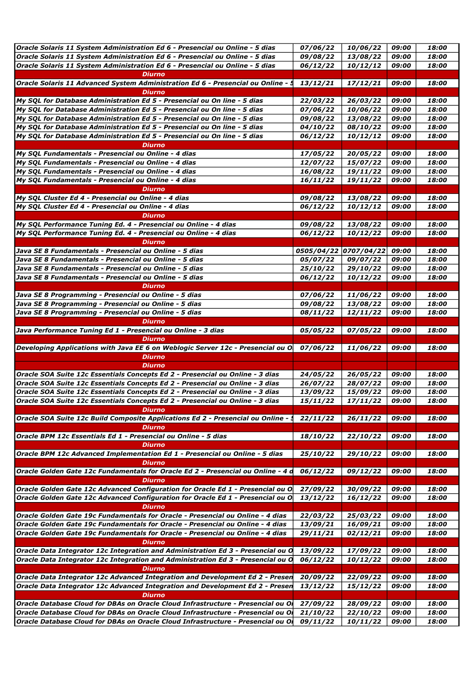| Oracle Solaris 11 System Administration Ed 6 - Presencial ou Online - 5 dias      | 07/06/22               | 10/06/22              | 09:00 | 18:00 |
|-----------------------------------------------------------------------------------|------------------------|-----------------------|-------|-------|
| Oracle Solaris 11 System Administration Ed 6 - Presencial ou Online - 5 dias      | 09/08/22               | 13/08/22              | 09:00 | 18:00 |
| Oracle Solaris 11 System Administration Ed 6 - Presencial ou Online - 5 dias      |                        |                       | 09:00 | 18:00 |
|                                                                                   | 06/12/22               | 10/12/12              |       |       |
| <b>Diurno</b>                                                                     |                        |                       |       |       |
| Oracle Solaris 11 Advanced System Administration Ed 6 - Presencial ou Online - §  | 13/12/21               | 17/12/21              | 09:00 | 18:00 |
| <b>Diurno</b>                                                                     |                        |                       |       |       |
| My SOL for Database Administration Ed 5 - Presencial ou On line - 5 dias          | 22/03/22               | 26/03/22              | 09:00 | 18:00 |
| My SQL for Database Administration Ed 5 - Presencial ou On line - 5 dias          | 07/06/22               | 10/06/22              | 09:00 | 18:00 |
| My SQL for Database Administration Ed 5 - Presencial ou On line - 5 dias          | 09/08/22               | 13/08/22              | 09:00 | 18:00 |
| My SQL for Database Administration Ed 5 - Presencial ou On line - 5 dias          | 04/10/22               | 08/10/22              | 09:00 | 18:00 |
| My SQL for Database Administration Ed 5 - Presencial ou On line - 5 dias          | 06/12/22               | 10/12/12              | 09:00 | 18:00 |
| Diurno                                                                            |                        |                       |       |       |
|                                                                                   |                        |                       |       |       |
| My SQL Fundamentals - Presencial ou Online - 4 dias                               | 17/05/22               | 20/05/22              | 09:00 | 18:00 |
| My SQL Fundamentals - Presencial ou Online - 4 dias                               | 12/07/22               | 15/07/22              | 09:00 | 18:00 |
| My SQL Fundamentals - Presencial ou Online - 4 dias                               | 16/08/22               | 19/11/22              | 09:00 | 18:00 |
| My SQL Fundamentals - Presencial ou Online - 4 dias                               | 16/11/22               | 19/11/22              | 09:00 | 18:00 |
| <b>Diurno</b>                                                                     |                        |                       |       |       |
| My SQL Cluster Ed 4 - Presencial ou Online - 4 dias                               | 09/08/22               | 13/08/22              | 09:00 | 18:00 |
| My SQL Cluster Ed 4 - Presencial ou Online - 4 dias                               | 06/12/22               | 10/12/12              | 09:00 | 18:00 |
|                                                                                   |                        |                       |       |       |
| Diurno                                                                            |                        |                       |       |       |
| My SQL Performance Tuning Ed. 4 - Presencial ou Online - 4 dias                   | 09/08/22               | 13/08/22              | 09:00 | 18:00 |
| My SQL Performance Tuning Ed. 4 - Presencial ou Online - 4 dias                   | 06/12/22               | 10/12/22              | 09:00 | 18:00 |
| <b>Diurno</b>                                                                     |                        |                       |       |       |
| Java SE 8 Fundamentals - Presencial ou Online - 5 dias                            |                        | 0505/04/22 0707/04/22 | 09:00 | 18:00 |
| Java SE 8 Fundamentals - Presencial ou Online - 5 dias                            | 05/07/22               | 09/07/22              | 09:00 | 18:00 |
| Java SE 8 Fundamentals - Presencial ou Online - 5 dias                            | 25/10/22               | 29/10/22              | 09:00 | 18:00 |
| Java SE 8 Fundamentals - Presencial ou Online - 5 dias                            | 06/12/22               | 10/12/22              | 09:00 | 18:00 |
| Diurno                                                                            |                        |                       |       |       |
| Java SE 8 Programming - Presencial ou Online - 5 dias                             |                        |                       |       |       |
|                                                                                   | 07/06/22               | 11/06/22              | 09:00 | 18:00 |
| Java SE 8 Programming - Presencial ou Online - 5 dias                             | 09/08/22               | 13/08/22              | 09:00 | 18:00 |
| Java SE 8 Programming - Presencial ou Online - 5 dias                             | 08/11/22               | 12/11/22              | 09:00 | 18:00 |
| Diurno                                                                            |                        |                       |       |       |
| Java Performance Tuning Ed 1 - Presencial ou Online - 3 dias                      | 05/05/22               | 07/05/22              | 09:00 | 18:00 |
| <b>Diurno</b>                                                                     |                        |                       |       |       |
| Developing Applications with Java EE 6 on Weblogic Server 12c - Presencial ou O   | 07/06/22               | 11/06/22              | 09:00 | 18:00 |
| <b>Diurno</b>                                                                     |                        |                       |       |       |
| Diurno                                                                            |                        |                       |       |       |
| Oracle SOA Suite 12c Essentials Concepts Ed 2 - Presencial ou Online - 3 dias     | 24/05/22               | 26/05/22              | 09:00 | 18:00 |
| Oracle SOA Suite 12c Essentials Concepts Ed 2 - Presencial ou Online - 3 dias     | 26/07/22               | 28/07/22              | 09:00 | 18:00 |
|                                                                                   |                        |                       |       |       |
| Oracle SOA Suite 12c Essentials Concepts Ed 2 - Presencial ou Online - 3 dias     | <i><b>13/09/22</b></i> | 15/09/22              | 09:00 | 18:00 |
| Oracle SOA Suite 12c Essentials Concepts Ed 2 - Presencial ou Online - 3 dias     | 15/11/22               | 17/11/22              | 09:00 | 18:00 |
| <b>Diurno</b>                                                                     |                        |                       |       |       |
| Oracle SOA Suite 12c Build Composite Applications Ed 2 - Presencial ou Online - 5 | 22/11/22               | 26/11/22              | 09:00 | 18:00 |
| Diurno                                                                            |                        |                       |       |       |
| Oracle BPM 12c Essentials Ed 1 - Presencial ou Online - 5 dias                    | 18/10/22               | 22/10/22              | 09:00 | 18:00 |
| <b>Diurno</b>                                                                     |                        |                       |       |       |
| Oracle BPM 12c Advanced Implementation Ed 1 - Presencial ou Online - 5 dias       | 25/10/22               | 29/10/22              | 09:00 | 18:00 |
| <b>Diurno</b>                                                                     |                        |                       |       |       |
| Oracle Golden Gate 12c Fundamentals for Oracle Ed 2 - Presencial ou Online - 4 d  | 06/12/22               | 09/12/22              | 09:00 | 18:00 |
| Diurno                                                                            |                        |                       |       |       |
|                                                                                   |                        |                       |       |       |
| Oracle Golden Gate 12c Advanced Configuration for Oracle Ed 1 - Presencial ou O   | 27/09/22               | 30/09/22              | 09:00 | 18:00 |
| Oracle Golden Gate 12c Advanced Configuration for Oracle Ed 1 - Presencial ou O.  | 13/12/22               | 16/12/22              | 09:00 | 18:00 |
| <b>Diurno</b>                                                                     |                        |                       |       |       |
| Oracle Golden Gate 19c Fundamentals for Oracle - Presencial ou Online - 4 dias    | 22/03/22               | 25/03/22              | 09:00 | 18:00 |
| Oracle Golden Gate 19c Fundamentals for Oracle - Presencial ou Online - 4 dias    | 13/09/21               | 16/09/21              | 09:00 | 18:00 |
| Oracle Golden Gate 19c Fundamentals for Oracle - Presencial ou Online - 4 dias    | 29/11/21               | 02/12/21              | 09:00 | 18:00 |
| Diurno                                                                            |                        |                       |       |       |
| Oracle Data Integrator 12c Integration and Administration Ed 3 - Presencial ou O  | 13/09/22               | 17/09/22              | 09:00 | 18:00 |
| Oracle Data Integrator 12c Integration and Administration Ed 3 - Presencial ou O  | 06/12/22               | 10/12/22              | 09:00 | 18:00 |
|                                                                                   |                        |                       |       |       |
| <b>Diurno</b>                                                                     |                        |                       |       |       |
| Oracle Data Integrator 12c Advanced Integration and Development Ed 2 - Presen     | 20/09/22               | 22/09/22              | 09:00 | 18:00 |
| Oracle Data Integrator 12c Advanced Integration and Development Ed 2 - Presen     | 13/12/22               | 15/12/22              | 09:00 | 18:00 |
| Diurno                                                                            |                        |                       |       |       |
| Oracle Database Cloud for DBAs on Oracle Cloud Infrastructure - Presencial ou Or  | 27/09/22               | 28/09/22              | 09:00 | 18:00 |
|                                                                                   |                        |                       |       |       |
| Oracle Database Cloud for DBAs on Oracle Cloud Infrastructure - Presencial ou Or  | 21/10/22               | 22/10/22              | 09:00 | 18:00 |